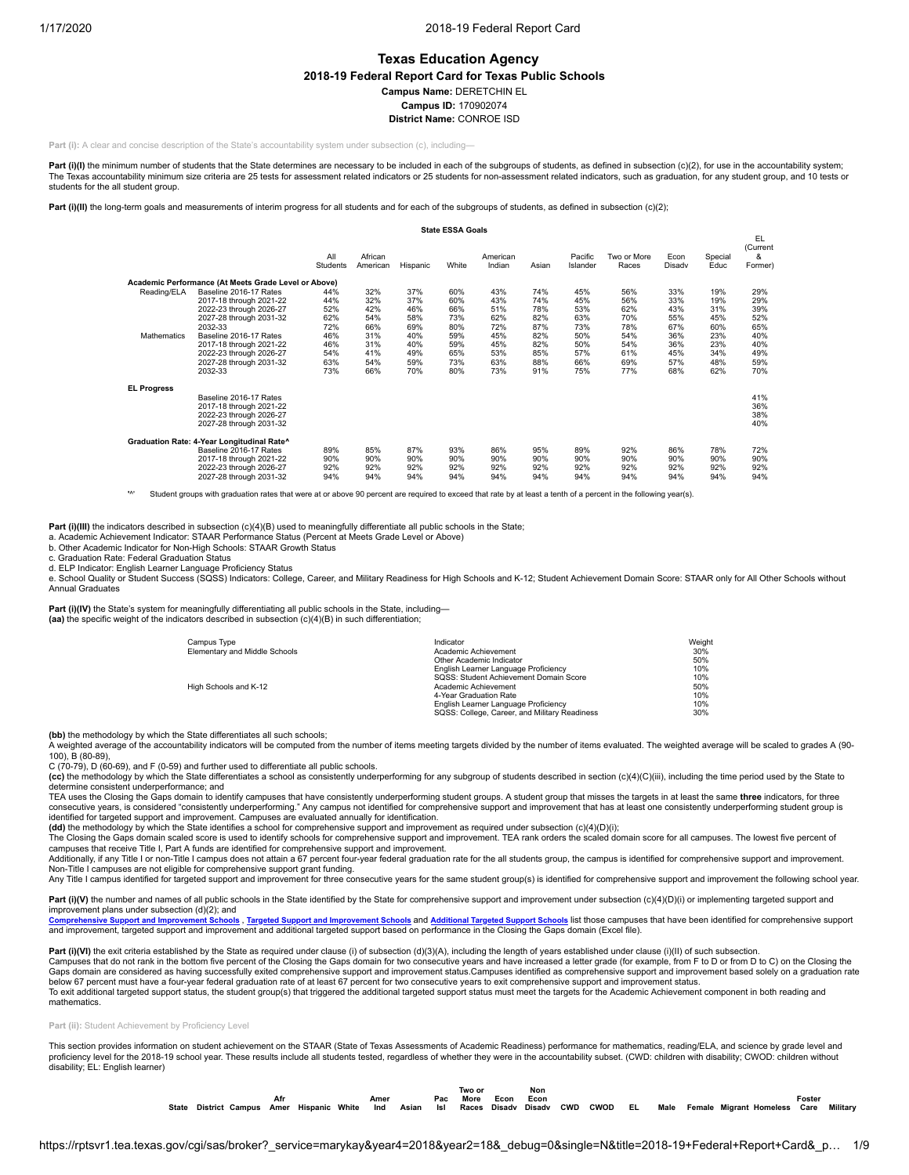# **Texas Education Agency**

**2018-19 Federal Report Card for Texas Public Schools**

**Campus Name:** DERETCHIN EL

**Campus ID:** 170902074

**District Name:** CONROE ISD

**Part (i):** A clear and concise description of the State's accountability system under subsection (c), including-

Part (i)(I) the minimum number of students that the State determines are necessary to be included in each of the subgroups of students, as defined in subsection (c)(2), for use in the accountability system; The Texas accountability minimum size criteria are 25 tests for assessment related indicators or 25 students for non-assessment related indicators, such as graduation, for any student group, and 10 tests or students for the all student group.

Part (i)(II) the long-term goals and measurements of interim progress for all students and for each of the subgroups of students, as defined in subsection (c)(2);

|                                   |                                                                                                                                                                                                                                          |                                                                    |                                                                    |                                                                    | <b>State ESSA Goals</b>                                            |                                                                    |                                                                    |                                                                    |                                                                    |                                                                    |                                                                    |                                                                    |
|-----------------------------------|------------------------------------------------------------------------------------------------------------------------------------------------------------------------------------------------------------------------------------------|--------------------------------------------------------------------|--------------------------------------------------------------------|--------------------------------------------------------------------|--------------------------------------------------------------------|--------------------------------------------------------------------|--------------------------------------------------------------------|--------------------------------------------------------------------|--------------------------------------------------------------------|--------------------------------------------------------------------|--------------------------------------------------------------------|--------------------------------------------------------------------|
|                                   |                                                                                                                                                                                                                                          | All<br>Students                                                    | African<br>American                                                | Hispanic                                                           | White                                                              | American<br>Indian                                                 | Asian                                                              | Pacific<br>Islander                                                | Two or More<br>Races                                               | Econ<br>Disady                                                     | Special<br>Educ                                                    | EL.<br>(Current<br>&<br>Former)                                    |
|                                   | Academic Performance (At Meets Grade Level or Above)                                                                                                                                                                                     |                                                                    |                                                                    |                                                                    |                                                                    |                                                                    |                                                                    |                                                                    |                                                                    |                                                                    |                                                                    |                                                                    |
| Reading/ELA<br><b>Mathematics</b> | Baseline 2016-17 Rates<br>2017-18 through 2021-22<br>2022-23 through 2026-27<br>2027-28 through 2031-32<br>2032-33<br>Baseline 2016-17 Rates<br>2017-18 through 2021-22<br>2022-23 through 2026-27<br>2027-28 through 2031-32<br>2032-33 | 44%<br>44%<br>52%<br>62%<br>72%<br>46%<br>46%<br>54%<br>63%<br>73% | 32%<br>32%<br>42%<br>54%<br>66%<br>31%<br>31%<br>41%<br>54%<br>66% | 37%<br>37%<br>46%<br>58%<br>69%<br>40%<br>40%<br>49%<br>59%<br>70% | 60%<br>60%<br>66%<br>73%<br>80%<br>59%<br>59%<br>65%<br>73%<br>80% | 43%<br>43%<br>51%<br>62%<br>72%<br>45%<br>45%<br>53%<br>63%<br>73% | 74%<br>74%<br>78%<br>82%<br>87%<br>82%<br>82%<br>85%<br>88%<br>91% | 45%<br>45%<br>53%<br>63%<br>73%<br>50%<br>50%<br>57%<br>66%<br>75% | 56%<br>56%<br>62%<br>70%<br>78%<br>54%<br>54%<br>61%<br>69%<br>77% | 33%<br>33%<br>43%<br>55%<br>67%<br>36%<br>36%<br>45%<br>57%<br>68% | 19%<br>19%<br>31%<br>45%<br>60%<br>23%<br>23%<br>34%<br>48%<br>62% | 29%<br>29%<br>39%<br>52%<br>65%<br>40%<br>40%<br>49%<br>59%<br>70% |
| <b>EL Progress</b>                | Baseline 2016-17 Rates<br>2017-18 through 2021-22<br>2022-23 through 2026-27<br>2027-28 through 2031-32                                                                                                                                  |                                                                    |                                                                    |                                                                    |                                                                    |                                                                    |                                                                    |                                                                    |                                                                    |                                                                    |                                                                    | 41%<br>36%<br>38%<br>40%                                           |
|                                   | Graduation Rate: 4-Year Longitudinal Rate^<br>Baseline 2016-17 Rates<br>2017-18 through 2021-22<br>2022-23 through 2026-27<br>2027-28 through 2031-32                                                                                    | 89%<br>90%<br>92%<br>94%                                           | 85%<br>90%<br>92%<br>94%                                           | 87%<br>90%<br>92%<br>94%                                           | 93%<br>90%<br>92%<br>94%                                           | 86%<br>90%<br>92%<br>94%                                           | 95%<br>90%<br>92%<br>94%                                           | 89%<br>90%<br>92%<br>94%                                           | 92%<br>90%<br>92%<br>94%                                           | 86%<br>90%<br>92%<br>94%                                           | 78%<br>90%<br>92%<br>94%                                           | 72%<br>90%<br>92%<br>94%                                           |

Student groups with graduation rates that were at or above 90 percent are required to exceed that rate by at least a tenth of a percent in the following year(s).

**Part (i)(III)** the indicators described in subsection (c)(4)(B) used to meaningfully differentiate all public schools in the State;

a. Academic Achievement Indicator: STAAR Performance Status (Percent at Meets Grade Level or Above)

b. Other Academic Indicator for Non-High Schools: STAAR Growth Status

c. Graduation Rate: Federal Graduation Status

d. ELP Indicator: English Learner Language Proficiency Status

e. School Quality or Student Success (SQSS) Indicators: College, Career, and Military Readiness for High Schools and K-12; Student Achievement Domain Score: STAAR only for All Other Schools without Annual Graduates

Part (i)(IV) the State's system for meaningfully differentiating all public schools in the State, including— **(aa)** the specific weight of the indicators described in subsection (c)(4)(B) in such differentiation;

| Campus Type                   | Indicator                                     | Weight |
|-------------------------------|-----------------------------------------------|--------|
| Elementary and Middle Schools | Academic Achievement                          | 30%    |
|                               | Other Academic Indicator                      | 50%    |
|                               | English Learner Language Proficiency          | 10%    |
|                               | SQSS: Student Achievement Domain Score        | 10%    |
| High Schools and K-12         | Academic Achievement                          | 50%    |
|                               | 4-Year Graduation Rate                        | 10%    |
|                               | English Learner Language Proficiency          | 10%    |
|                               | SQSS: College, Career, and Military Readiness | 30%    |

**(bb)** the methodology by which the State differentiates all such schools;

A weighted average of the accountability indicators will be computed from the number of items meeting targets divided by the number of items evaluated. The weighted average will be scaled to grades A (90- 100), B (80-89),

C (70-79), D (60-69), and F (0-59) and further used to differentiate all public schools.

(cc) the methodology by which the State differentiates a school as consistently underperforming for any subgroup of students described in section (c)(4)(C)(iii), including the time period used by the State to (c)(4)(C) (ii determine consistent underperformance; and

TEA uses the Closing the Gaps domain to identify campuses that have consistently underperforming student groups. A student group that misses the targets in at least the same **three** indicators, for three consecutive years, is considered "consistently underperforming." Any campus not identified for comprehensive support and improvement that has at least one consistently underperforming student group is identified for targeted support and improvement. Campuses are evaluated annually for identification.<br>**(dd)** the methodology by which the State identifies a school for comprehensive support and improvement as required under

The Closing the Gaps domain scaled score is used to identify schools for comprehensive support and improvement. TEA rank orders the scaled domain score for all campuses. The lowest five percent of

campuses that receive Title I, Part A funds are identified for comprehensive support and improvement.<br>Additionally, if any Title I or non-Title I campus does not attain a 67 percent four-year federal graduation rate for th

Non-Title I campuses are not eligible for comprehensive support grant funding.<br>Any Title I campus identified for targeted support and improvement for three consecutive years for the same student group(s) is identified for

Part (i)(V) the number and names of all public schools in the State identified by the State for comprehensive support and improvement under subsection (c)(4)(D)(i) or implementing targeted support and

improvement plans under subsection (d)(2); and<br>Comprehensive Support and Improvement Schools -v.m.<br>I<mark>n Schools , Targeted Support and [Improvement](https://tea.texas.gov/sites/default/files/target_support_2019.xlsx) Schools</mark> and <u>[Additional](https://tea.texas.gov/sites/default/files/additional_targeted_support_2019.xlsx) Targeted Support Schools</u> list those campuses that have been identified for comprehensive support and improvement, targeted support and improvement and additional targeted support based on performance in the Closing the Gaps domain (Excel file).

Part (i)(VI) the exit criteria established by the State as required under clause (i) of subsection (d)(3)(A), including the length of years established under clause (i)(II) of such subsection Campuses that do not rank in the bottom five percent of the Closing the Gaps domain for two consecutive years and have increased a letter grade (for example, from F to D or from D to C) on the Closing the Gaps domain are considered as having successfully exited comprehensive support and improvement status.Campuses identified as comprehensive support and improvement based solely on a graduation rate below 67 percent must have a four-year federal graduation rate of at least 67 percent for two consecutive years to exit comprehensive support and improvement status. To exit additional targeted support status, the student group(s) that triggered the additional targeted support status must meet the targets for the Academic Achievement component in both reading and mathematics.

#### **Part (ii):** Student Achievement by Proficiency Level

This section provides information on student achievement on the STAAR (State of Texas Assessments of Academic Readiness) performance for mathematics, reading/ELA, and science by grade level and proficiency level for the 2018-19 school year. These results include all students tested, regardless of whether they were in the accountability subset. (CWD: children with disability; CWOD: children without disability; EL: English learner)

|       |                        |      |          |       |      |       |     | Two or |      | Non           |            |             |    |      |                         |        |          |
|-------|------------------------|------|----------|-------|------|-------|-----|--------|------|---------------|------------|-------------|----|------|-------------------------|--------|----------|
|       |                        | Afr  |          |       | Amer |       | Pac | More   | Econ | Econ          |            |             |    |      |                         | Foster |          |
| State | <b>District Campus</b> | Amer | Hispanic | White | Ind  | Asian | Isl | Races  |      | Disady Disady | <b>CWD</b> | <b>CWOD</b> | EL | Male | Female Migrant Homeless | Care   | Militarv |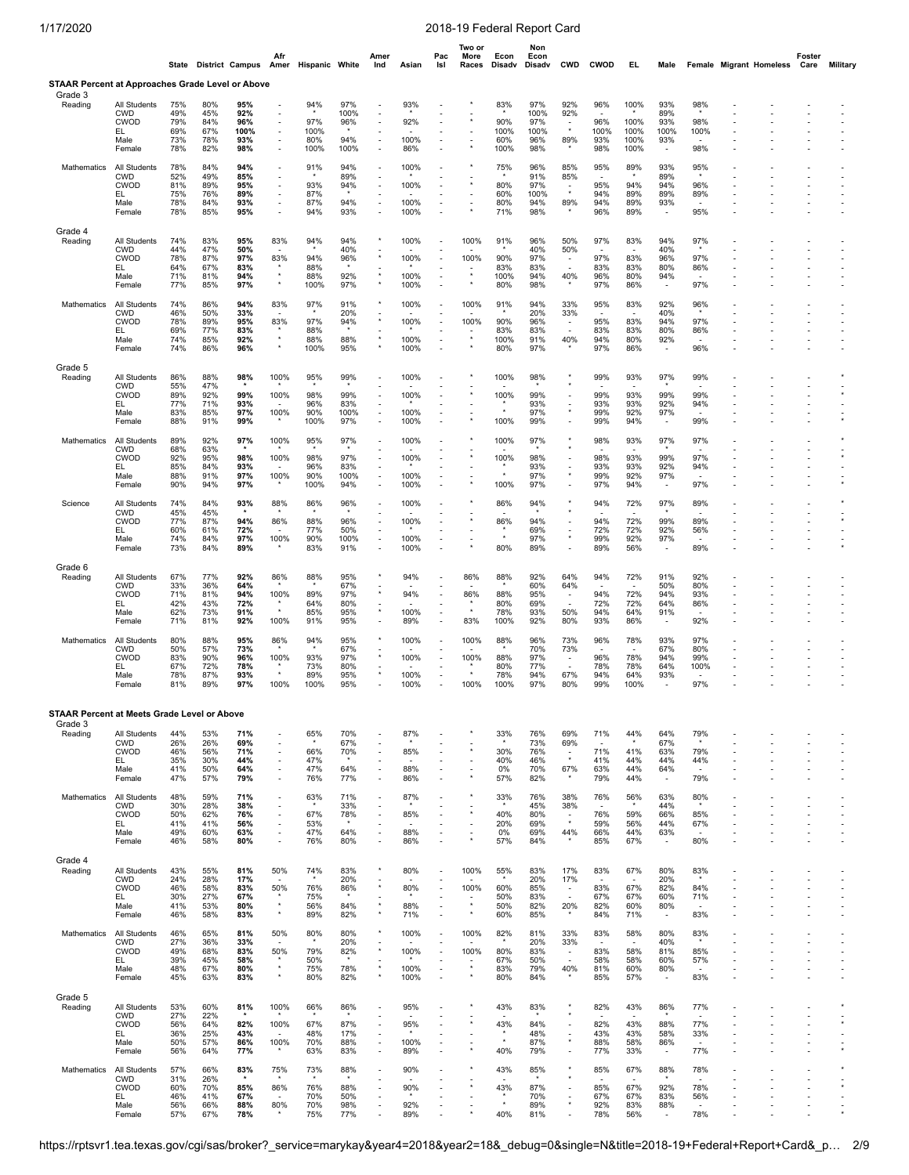|                                                                    |                                                                          |                                        |                                        | State District Campus Amer Hispanic White | Afr                                                  |                                   |                                        | Amer<br>Ind                                                                                                                                                          | Asian                        | Pac<br>Isl                                                                                                                                                           | Two or<br>More<br>Races               | Econ<br>Disadv                    | Non<br>Econ<br>Disadv                    | <b>CWD</b>                                                                 | <b>CWOD</b>                      | EL,                                                         | Male                                                 |                                                      | <b>Female Migrant Homeless</b> | Foster<br>Care                       | <b>Military</b>          |
|--------------------------------------------------------------------|--------------------------------------------------------------------------|----------------------------------------|----------------------------------------|-------------------------------------------|------------------------------------------------------|-----------------------------------|----------------------------------------|----------------------------------------------------------------------------------------------------------------------------------------------------------------------|------------------------------|----------------------------------------------------------------------------------------------------------------------------------------------------------------------|---------------------------------------|-----------------------------------|------------------------------------------|----------------------------------------------------------------------------|----------------------------------|-------------------------------------------------------------|------------------------------------------------------|------------------------------------------------------|--------------------------------|--------------------------------------|--------------------------|
| <b>STAAR Percent at Approaches Grade Level or Above</b><br>Grade 3 |                                                                          |                                        |                                        |                                           |                                                      |                                   |                                        |                                                                                                                                                                      |                              |                                                                                                                                                                      |                                       |                                   |                                          |                                                                            |                                  |                                                             |                                                      |                                                      |                                |                                      |                          |
| Reading                                                            | All Students<br><b>CWD</b><br>CWOD<br>EL<br>Male<br>Female               | 75%<br>49%<br>79%<br>69%<br>73%<br>78% | 80%<br>45%<br>84%<br>67%<br>78%<br>82% | 95%<br>92%<br>96%<br>100%<br>93%<br>98%   |                                                      | 94%<br>97%<br>100%<br>80%<br>100% | 97%<br>100%<br>96%<br>94%<br>100%      | $\overline{\phantom{a}}$<br>÷<br>$\overline{\phantom{a}}$<br>$\overline{\phantom{m}}$<br>$\sim$                                                                      | 93%<br>92%<br>100%<br>86%    | $\overline{\phantom{a}}$                                                                                                                                             |                                       | 83%<br>90%<br>100%<br>60%<br>100% | 97%<br>100%<br>97%<br>100%<br>96%<br>98% | 92%<br>92%<br>$\overline{\phantom{a}}$<br>$\star$<br>89%                   | 96%<br>96%<br>100%<br>93%<br>98% | 100%<br>100%<br>100%<br>100%<br>100%                        | 93%<br>89%<br>93%<br>100%<br>93%                     | 98%<br>98%<br>100%<br>98%                            |                                |                                      |                          |
| Mathematics                                                        | <b>All Students</b><br><b>CWD</b><br><b>CWOD</b><br>EL<br>Male<br>Female | 78%<br>52%<br>81%<br>75%<br>78%<br>78% | 84%<br>49%<br>89%<br>76%<br>84%<br>85% | 94%<br>85%<br>95%<br>89%<br>93%<br>95%    | $\overline{\phantom{a}}$<br>$\overline{\phantom{a}}$ | 91%<br>93%<br>87%<br>87%<br>94%   | 94%<br>89%<br>94%<br>94%<br>93%        | $\overline{a}$<br>$\overline{\phantom{a}}$<br>$\overline{\phantom{a}}$<br>÷<br>$\overline{\phantom{a}}$<br>$\overline{\phantom{a}}$                                  | 100%<br>100%<br>100%<br>100% | ÷,<br>$\overline{\phantom{a}}$<br>$\overline{a}$<br>$\overline{\phantom{a}}$<br>$\sim$                                                                               |                                       | 75%<br>80%<br>60%<br>80%<br>71%   | 96%<br>91%<br>97%<br>100%<br>94%<br>98%  | 85%<br>85%<br>89%                                                          | 95%<br>95%<br>94%<br>94%<br>96%  | 89%<br>94%<br>89%<br>89%<br>89%                             | 93%<br>89%<br>94%<br>89%<br>93%                      | 95%<br>96%<br>89%<br>95%                             |                                |                                      | $\overline{\phantom{a}}$ |
| Grade 4<br>Reading                                                 | All Students<br><b>CWD</b><br><b>CWOD</b><br>EL<br>Male<br>Female        | 74%<br>44%<br>78%<br>64%<br>71%<br>77% | 83%<br>47%<br>87%<br>67%<br>81%<br>85% | 95%<br>50%<br>97%<br>83%<br>94%<br>97%    | 83%<br>83%<br>$\star$                                | 94%<br>94%<br>88%<br>88%<br>100%  | 94%<br>40%<br>96%<br>92%<br>97%        | ×<br>$^\star$<br>$^\star$<br>$^\star$                                                                                                                                | 100%<br>100%<br>100%<br>100% | $\overline{\phantom{a}}$<br>$\overline{\phantom{a}}$<br>$\overline{\phantom{a}}$<br>÷,<br>$\overline{\phantom{a}}$<br>$\sim$                                         | 100%<br>100%<br>$\star$<br>$\star$    | 91%<br>90%<br>83%<br>100%<br>80%  | 96%<br>40%<br>97%<br>83%<br>94%<br>98%   | 50%<br>50%<br>$\overline{\phantom{a}}$<br>$\overline{a}$<br>40%            | 97%<br>97%<br>83%<br>96%<br>97%  | 83%<br>83%<br>83%<br>80%<br>86%                             | 94%<br>40%<br>96%<br>80%<br>94%                      | 97%<br>97%<br>86%<br>97%                             |                                |                                      |                          |
| Mathematics                                                        | All Students<br><b>CWD</b><br><b>CWOD</b><br>EL<br>Male<br>Female        | 74%<br>46%<br>78%<br>69%<br>74%<br>74% | 86%<br>50%<br>89%<br>77%<br>85%<br>86% | 94%<br>33%<br>95%<br>83%<br>92%<br>96%    | 83%<br>83%<br>$\star$                                | 97%<br>97%<br>88%<br>88%<br>100%  | 91%<br>20%<br>94%<br>88%<br>95%        | $^\star$<br>$^\star$<br>$^\star$                                                                                                                                     | 100%<br>100%<br>100%<br>100% | $\overline{\phantom{a}}$<br>÷,<br>$\overline{\phantom{a}}$<br>÷,                                                                                                     | 100%<br>100%<br>$\star$               | 91%<br>90%<br>83%<br>100%<br>80%  | 94%<br>20%<br>96%<br>83%<br>91%<br>97%   | 33%<br>33%<br>$\overline{\phantom{a}}$<br>40%                              | 95%<br>95%<br>83%<br>94%<br>97%  | 83%<br>83%<br>83%<br>80%<br>86%                             | 92%<br>40%<br>94%<br>80%<br>92%                      | 96%<br>97%<br>86%<br>96%                             |                                |                                      |                          |
| Grade 5<br>Reading                                                 | All Students<br><b>CWD</b><br><b>CWOD</b><br>EL.<br>Male<br>Female       | 86%<br>55%<br>89%<br>77%<br>83%<br>88% | 88%<br>47%<br>92%<br>71%<br>85%<br>91% | 98%<br>99%<br>93%<br>97%<br>99%           | 100%<br>100%<br>100%                                 | 95%<br>98%<br>96%<br>90%<br>100%  | 99%<br>99%<br>83%<br>100%<br>97%       | ÷<br>$\overline{\phantom{a}}$<br>$\overline{\phantom{a}}$<br>÷<br>$\overline{\phantom{a}}$<br>÷                                                                      | 100%<br>100%<br>100%<br>100% | ÷,<br>÷,<br>÷,                                                                                                                                                       |                                       | 100%<br>100%<br>100%              | 98%<br>99%<br>93%<br>97%<br>99%          | ٠<br>٠<br>$\star$                                                          | 99%<br>99%<br>93%<br>99%<br>99%  | 93%<br>93%<br>93%<br>92%<br>94%                             | 97%<br>99%<br>92%<br>97%<br>$\overline{\phantom{a}}$ | 99%<br>99%<br>94%<br>99%                             |                                |                                      |                          |
| <b>Mathematics</b>                                                 | All Students<br><b>CWD</b><br>CWOD<br>EL<br>Male<br>Female               | 89%<br>68%<br>92%<br>85%<br>88%<br>90% | 92%<br>63%<br>95%<br>84%<br>91%<br>94% | 97%<br>98%<br>93%<br>97%<br>97%           | 100%<br>100%<br>100%                                 | 95%<br>98%<br>96%<br>90%<br>100%  | 97%<br>97%<br>83%<br>100%<br>94%       | $\overline{\phantom{a}}$<br>$\overline{\phantom{a}}$<br>$\overline{\phantom{a}}$<br>$\overline{\phantom{a}}$<br>$\overline{\phantom{a}}$<br>$\overline{\phantom{a}}$ | 100%<br>100%<br>100%<br>100% | ٠<br>$\blacksquare$                                                                                                                                                  |                                       | 100%<br>100%<br>$\star$<br>100%   | 97%<br>98%<br>93%<br>97%<br>97%          | $\overline{\phantom{a}}$<br>$\blacksquare$<br>$\star$                      | 98%<br>98%<br>93%<br>99%<br>97%  | 93%<br>93%<br>93%<br>92%<br>94%                             | 97%<br>99%<br>92%<br>97%                             | 97%<br>97%<br>94%<br>97%                             |                                |                                      |                          |
| Science                                                            | All Students<br><b>CWD</b><br>CWOD<br>EL<br>Male<br>Female               | 74%<br>45%<br>77%<br>60%<br>74%<br>73% | 84%<br>45%<br>87%<br>61%<br>84%<br>84% | 93%<br>94%<br>72%<br>97%<br>89%           | 88%<br>86%<br>100%                                   | 86%<br>88%<br>77%<br>90%<br>83%   | 96%<br>96%<br>50%<br>100%<br>91%       | $\overline{\phantom{a}}$<br>$\overline{a}$<br>$\overline{\phantom{a}}$<br>÷,<br>÷<br>$\overline{\phantom{a}}$                                                        | 100%<br>100%<br>100%<br>100% | ÷,<br>$\overline{a}$                                                                                                                                                 |                                       | 86%<br>86%<br>$\star$<br>80%      | 94%<br>94%<br>69%<br>97%<br>89%          | ÷,<br>÷,                                                                   | 94%<br>94%<br>72%<br>99%<br>89%  | 72%<br>72%<br>72%<br>92%<br>56%                             | 97%<br>99%<br>92%<br>97%                             | 89%<br>89%<br>56%<br>89%                             |                                |                                      |                          |
| Grade 6<br>Reading                                                 | All Students<br><b>CWD</b><br><b>CWOD</b><br>EL.<br>Male<br>Female       | 67%<br>33%<br>71%<br>42%<br>62%<br>71% | 77%<br>36%<br>81%<br>43%<br>73%<br>81% | 92%<br>64%<br>94%<br>72%<br>91%<br>92%    | 86%<br>100%<br>100%                                  | 88%<br>89%<br>64%<br>85%<br>91%   | 95%<br>67%<br>97%<br>80%<br>95%<br>95% | $\star$<br>$^\star$<br>÷,                                                                                                                                            | 94%<br>94%<br>100%<br>89%    | $\overline{\phantom{a}}$<br>$\overline{\phantom{a}}$<br>$\overline{\phantom{a}}$<br>$\overline{\phantom{a}}$<br>$\overline{\phantom{a}}$<br>$\overline{\phantom{a}}$ | 86%<br>86%<br>83%                     | 88%<br>88%<br>80%<br>78%<br>100%  | 92%<br>60%<br>95%<br>69%<br>93%<br>92%   | 64%<br>64%<br>$\overline{\phantom{a}}$<br>50%<br>80%                       | 94%<br>94%<br>72%<br>94%<br>93%  | 72%<br>72%<br>72%<br>64%<br>86%                             | 91%<br>50%<br>94%<br>64%<br>91%                      | 92%<br>80%<br>93%<br>86%<br>92%                      |                                |                                      |                          |
| Mathematics                                                        | All Students<br><b>CWD</b><br><b>CWOD</b><br>EL.<br>Male<br>Female       | 80%<br>50%<br>83%<br>67%<br>78%<br>81% | 88%<br>57%<br>90%<br>72%<br>87%<br>89% | 95%<br>73%<br>96%<br>78%<br>93%<br>97%    | 86%<br>100%<br>100%                                  | 94%<br>93%<br>73%<br>89%<br>100%  | 95%<br>67%<br>97%<br>80%<br>95%<br>95% | $^\star$<br>$\overline{\phantom{a}}$<br>$^\star$                                                                                                                     | 100%<br>100%<br>100%<br>100% | $\overline{\phantom{a}}$<br>$\blacksquare$<br>$\overline{\phantom{a}}$<br>$\overline{\phantom{a}}$<br>$\overline{\phantom{a}}$<br>$\overline{a}$                     | 100%<br>100%<br>100%                  | 88%<br>88%<br>80%<br>78%<br>100%  | 96%<br>70%<br>97%<br>77%<br>94%<br>97%   | 73%<br>73%<br>$\overline{\phantom{a}}$<br>67%<br>80%                       | 96%<br>96%<br>78%<br>94%<br>99%  | 78%<br>78%<br>78%<br>64%<br>100%                            | 93%<br>67%<br>94%<br>64%<br>93%                      | 97%<br>80%<br>99%<br>100%<br>97%                     |                                |                                      |                          |
| <b>STAAR Percent at Meets Grade Level or Above</b>                 |                                                                          |                                        |                                        |                                           |                                                      |                                   |                                        |                                                                                                                                                                      |                              |                                                                                                                                                                      |                                       |                                   |                                          |                                                                            |                                  |                                                             |                                                      |                                                      |                                |                                      |                          |
| Grade 3<br>Reading                                                 | All Students<br><b>CWD</b><br>CWOD<br>EL.<br>Male<br>Female              | 44%<br>26%<br>46%<br>35%<br>41%<br>47% | 53%<br>26%<br>56%<br>30%<br>50%<br>57% | 71%<br>69%<br>71%<br>44%<br>64%<br>79%    |                                                      | 65%<br>66%<br>47%<br>47%<br>76%   | 70%<br>67%<br>70%<br>64%<br>77%        | $\overline{\phantom{a}}$<br>$\overline{\phantom{a}}$<br>$\overline{\phantom{a}}$<br><u>.</u>                                                                         | 87%<br>85%<br>88%<br>86%     | ÷,<br>٠<br>٠<br>$\overline{\phantom{a}}$<br>÷,                                                                                                                       |                                       | 33%<br>30%<br>40%<br>0%<br>57%    | 76%<br>73%<br>76%<br>46%<br>70%<br>82%   | 69%<br>69%<br>$\blacksquare$<br>$^\star$<br>67%                            | 71%<br>71%<br>41%<br>63%<br>79%  | 44%<br>41%<br>44%<br>44%<br>44%                             | 64%<br>67%<br>63%<br>44%<br>64%<br>$\blacksquare$    | 79%<br>79%<br>44%<br>$\overline{\phantom{a}}$<br>79% |                                |                                      |                          |
| Mathematics                                                        | All Students<br><b>CWD</b><br><b>CWOD</b><br>EL<br>Male<br>Female        | 48%<br>30%<br>50%<br>41%<br>49%<br>46% | 59%<br>28%<br>62%<br>41%<br>60%<br>58% | 71%<br>38%<br>76%<br>56%<br>63%<br>80%    |                                                      | 63%<br>67%<br>53%<br>47%<br>76%   | 71%<br>33%<br>78%<br>64%<br>80%        | $\overline{\phantom{a}}$<br>÷,<br>$\overline{\phantom{a}}$<br>$\overline{a}$<br>$\overline{\phantom{a}}$                                                             | 87%<br>85%<br>88%<br>86%     | $\overline{\phantom{a}}$<br>$\overline{a}$                                                                                                                           | $\star$                               | 33%<br>40%<br>20%<br>0%<br>57%    | 76%<br>45%<br>80%<br>69%<br>69%<br>84%   | 38%<br>38%<br>$\overline{\phantom{a}}$<br>$^\star$<br>44%                  | 76%<br>76%<br>59%<br>66%<br>85%  | 56%<br>59%<br>56%<br>44%<br>67%                             | 63%<br>44%<br>66%<br>44%<br>63%                      | 80%<br>85%<br>67%<br>80%                             |                                |                                      |                          |
| Grade 4<br>Reading                                                 | All Students<br><b>CWD</b><br><b>CWOD</b><br>EL.<br>Male<br>Female       | 43%<br>24%<br>46%<br>30%<br>41%<br>46% | 55%<br>28%<br>58%<br>27%<br>53%<br>58% | 81%<br>17%<br>83%<br>67%<br>80%<br>83%    | 50%<br>50%<br>$\star$<br>$\star$                     | 74%<br>76%<br>75%<br>56%<br>89%   | 83%<br>20%<br>86%<br>84%<br>82%        | $\star$<br>$^\star$<br>$\star$<br>$^\star$                                                                                                                           | 80%<br>80%<br>88%<br>71%     | $\overline{\phantom{a}}$<br>$\overline{\phantom{a}}$<br>$\overline{\phantom{a}}$<br>$\overline{\phantom{a}}$<br>$\overline{\phantom{a}}$<br>÷,                       | 100%<br>100%<br>$^{\star}$<br>$\star$ | 55%<br>60%<br>50%<br>50%<br>60%   | 83%<br>20%<br>85%<br>83%<br>82%<br>85%   | 17%<br>17%<br>$\overline{\phantom{a}}$<br>÷,<br>20%                        | 83%<br>83%<br>67%<br>82%<br>84%  | 67%<br>67%<br>67%<br>60%<br>71%                             | 80%<br>20%<br>82%<br>60%<br>80%                      | 83%<br>84%<br>71%<br>83%                             |                                | ٠<br>٠                               | ÷,                       |
| Mathematics                                                        | All Students<br><b>CWD</b><br>CWOD<br>EL.<br>Male<br>Female              | 46%<br>27%<br>49%<br>39%<br>48%<br>45% | 65%<br>36%<br>68%<br>45%<br>67%<br>63% | 81%<br>33%<br>83%<br>58%<br>80%<br>83%    | 50%<br>50%<br>$\star$<br>$\star$                     | 80%<br>79%<br>50%<br>75%<br>80%   | 80%<br>20%<br>82%<br>78%<br>82%        | $^\star$<br>$\overline{\phantom{a}}$<br>$^\star$<br>$^\star$                                                                                                         | 100%<br>100%<br>100%<br>100% | $\overline{\phantom{a}}$<br>÷,<br>$\overline{\phantom{a}}$<br>$\overline{\phantom{a}}$<br>$\overline{\phantom{a}}$<br>$\overline{a}$                                 | 100%<br>100%<br>$^\star$<br>$\star$   | 82%<br>80%<br>67%<br>83%<br>80%   | 81%<br>20%<br>83%<br>50%<br>79%<br>84%   | 33%<br>33%<br>$\overline{\phantom{a}}$<br>$\overline{\phantom{a}}$<br>40%  | 83%<br>83%<br>58%<br>81%<br>85%  | 58%<br>$\overline{\phantom{a}}$<br>58%<br>58%<br>60%<br>57% | 80%<br>40%<br>81%<br>60%<br>80%                      | 83%<br>85%<br>57%<br>83%                             |                                |                                      |                          |
| Grade 5<br>Reading                                                 | All Students<br><b>CWD</b><br>CWOD<br>EL<br>Male<br>Female               | 53%<br>27%<br>56%<br>36%<br>50%<br>56% | 60%<br>22%<br>64%<br>25%<br>57%<br>64% | 81%<br>82%<br>43%<br>86%<br>77%           | 100%<br>100%<br>100%                                 | 66%<br>67%<br>48%<br>70%<br>63%   | 86%<br>87%<br>17%<br>88%<br>83%        | $\overline{\phantom{a}}$<br>$\overline{\phantom{a}}$<br>$\overline{\phantom{m}}$<br>$\overline{\phantom{m}}$<br>$\overline{\phantom{a}}$<br>$\overline{\phantom{a}}$ | 95%<br>95%<br>100%<br>89%    | ٠<br>$\overline{\phantom{a}}$<br>÷,<br>$\overline{\phantom{a}}$                                                                                                      |                                       | 43%<br>43%<br>$^\star$<br>40%     | 83%<br>84%<br>48%<br>87%<br>79%          | $\star$<br>$\overline{\phantom{a}}$<br>$\overline{\phantom{a}}$<br>$\star$ | 82%<br>82%<br>43%<br>88%<br>77%  | 43%<br>$\overline{\phantom{a}}$<br>43%<br>43%<br>58%<br>33% | 86%<br>88%<br>58%<br>86%<br>$\overline{\phantom{a}}$ | 77%<br>77%<br>33%<br>$\overline{\phantom{a}}$<br>77% |                                |                                      |                          |
| Mathematics                                                        | All Students<br><b>CWD</b><br><b>CWOD</b><br>EL<br>Male<br>Female        | 57%<br>31%<br>60%<br>46%<br>56%<br>57% | 66%<br>26%<br>70%<br>41%<br>66%<br>67% | 83%<br>85%<br>67%<br>88%<br>78%           | 75%<br>86%<br>80%                                    | 73%<br>76%<br>70%<br>70%<br>75%   | 88%<br>88%<br>50%<br>98%<br>77%        | $\overline{\phantom{a}}$<br>$\overline{\phantom{a}}$<br>$\overline{\phantom{a}}$<br>$\overline{\phantom{a}}$                                                         | 90%<br>90%<br>92%<br>89%     | $\overline{a}$<br>÷,<br>$\overline{a}$<br>$\overline{a}$                                                                                                             |                                       | 43%<br>43%<br>40%                 | 85%<br>87%<br>70%<br>89%<br>81%          | $\overline{\phantom{a}}$                                                   | 85%<br>85%<br>67%<br>92%<br>78%  | 67%<br>67%<br>67%<br>83%<br>56%                             | 88%<br>92%<br>83%<br>88%                             | 78%<br>78%<br>56%<br>$\overline{\phantom{a}}$<br>78% |                                | ÷,<br>$\overline{\phantom{a}}$<br>÷, |                          |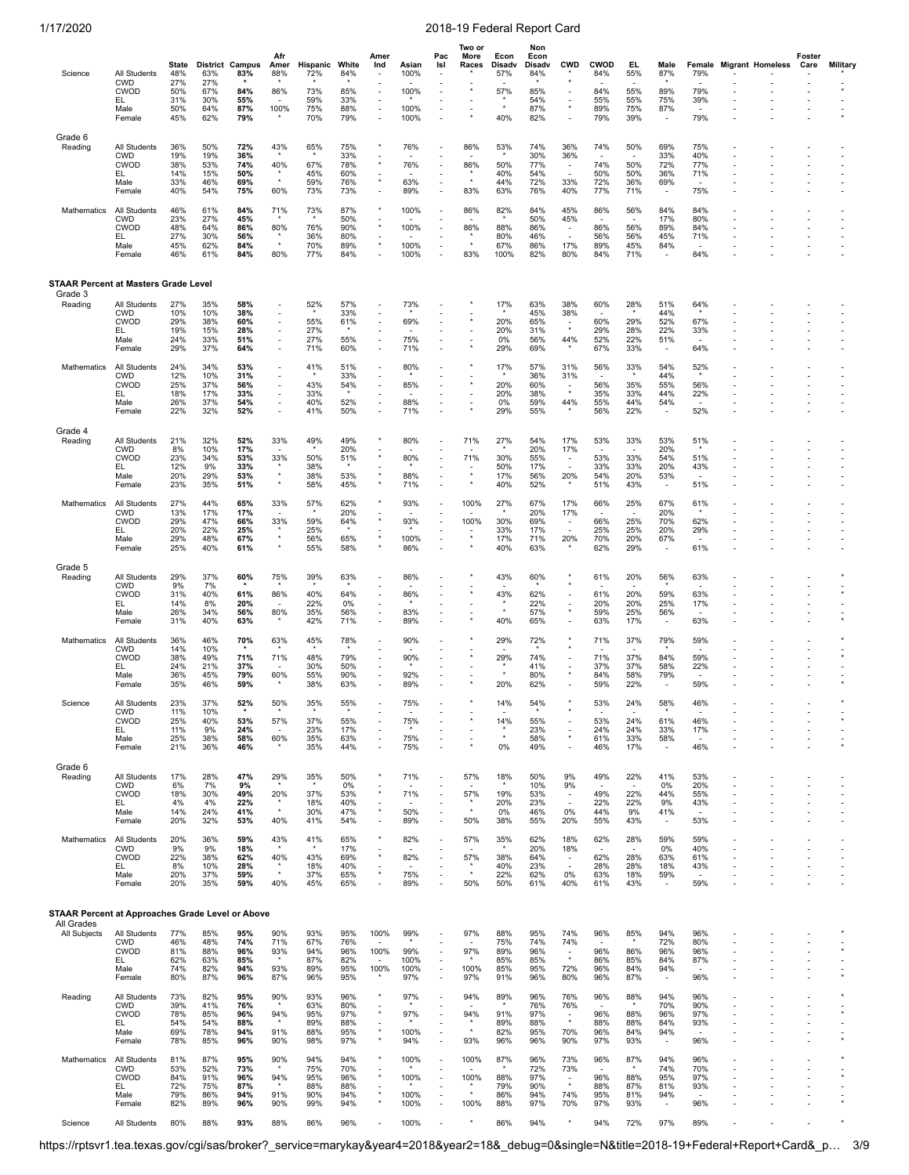| Science                                          | All Students                                                              | State<br>48%                           | District<br>63%                        | Campus<br>83%                              | Afr<br>Amer<br>88%                               | Hispanic<br>72%                        | White<br>84%                           | Amer<br>Ind                                                                                                       | Asian<br>100%                     | Pac<br>Isl                                                                                                             | Two or<br>More<br>Races          | Econ<br>Disadv<br>57%                  | Non<br>Econ<br>Disadv<br>84%           | <b>CWD</b>                                                       | <b>CWOD</b><br>84%              | EL<br>55%                                                   | Male<br>87%                                                 | Female<br>79%                                               | <b>Migrant Homeless</b> | Foster<br>Care | <b>Military</b> |
|--------------------------------------------------|---------------------------------------------------------------------------|----------------------------------------|----------------------------------------|--------------------------------------------|--------------------------------------------------|----------------------------------------|----------------------------------------|-------------------------------------------------------------------------------------------------------------------|-----------------------------------|------------------------------------------------------------------------------------------------------------------------|----------------------------------|----------------------------------------|----------------------------------------|------------------------------------------------------------------|---------------------------------|-------------------------------------------------------------|-------------------------------------------------------------|-------------------------------------------------------------|-------------------------|----------------|-----------------|
|                                                  | <b>CWD</b><br><b>CWOD</b><br>EL<br>Male<br>Female                         | 27%<br>50%<br>31%<br>50%<br>45%        | 27%<br>67%<br>30%<br>64%<br>62%        | 84%<br>55%<br>87%<br>79%                   | 86%<br>100%                                      | 73%<br>59%<br>75%<br>70%               | 85%<br>33%<br>88%<br>79%               | Ĭ.<br>$\overline{\phantom{a}}$<br>÷,<br>$\overline{\phantom{a}}$<br>$\overline{\phantom{a}}$                      | 100%<br>100%<br>100%              |                                                                                                                        |                                  | 57%<br>40%                             | 85%<br>54%<br>87%<br>82%               | $\overline{\phantom{a}}$                                         | 84%<br>55%<br>89%<br>79%        | 55%<br>55%<br>75%<br>39%                                    | 89%<br>75%<br>87%                                           | 79%<br>39%<br>79%                                           |                         | ٠              |                 |
| Grade 6<br>Reading                               | All Students<br><b>CWD</b><br>CWOD<br>EL<br>Male<br>Female                | 36%<br>19%<br>38%<br>14%<br>33%<br>40% | 50%<br>19%<br>53%<br>15%<br>46%<br>54% | 72%<br>36%<br>74%<br>50%<br>69%<br>75%     | 43%<br>40%<br>60%                                | 65%<br>67%<br>45%<br>59%<br>73%        | 75%<br>33%<br>78%<br>60%<br>76%<br>73% | $\star$<br>$\star$<br>÷,                                                                                          | 76%<br>76%<br>63%<br>89%          | $\overline{\phantom{a}}$                                                                                               | 86%<br>86%<br>83%                | 53%<br>50%<br>40%<br>44%<br>63%        | 74%<br>30%<br>77%<br>54%<br>72%<br>76% | 36%<br>36%<br>$\overline{\phantom{a}}$<br>33%<br>40%             | 74%<br>74%<br>50%<br>72%<br>77% | 50%<br>50%<br>50%<br>36%<br>71%                             | 69%<br>33%<br>72%<br>36%<br>69%                             | 75%<br>40%<br>77%<br>71%<br>75%                             |                         |                |                 |
| Mathematics                                      | <b>All Students</b><br><b>CWD</b><br><b>CWOD</b><br>EL<br>Male<br>Female  | 46%<br>23%<br>48%<br>27%<br>45%<br>46% | 61%<br>27%<br>64%<br>30%<br>62%<br>61% | 84%<br>45%<br>86%<br>56%<br>84%<br>84%     | 71%<br>80%<br>$\star$<br>80%                     | 73%<br>76%<br>36%<br>70%<br>77%        | 87%<br>50%<br>90%<br>80%<br>89%<br>84% | $\star$<br>$\star$                                                                                                | 100%<br>100%<br>100%<br>100%      |                                                                                                                        | 86%<br>86%<br>83%                | 82%<br>88%<br>80%<br>67%<br>100%       | 84%<br>50%<br>86%<br>46%<br>86%<br>82% | 45%<br>45%<br>$\overline{\phantom{a}}$<br>17%<br>80%             | 86%<br>86%<br>56%<br>89%<br>84% | 56%<br>56%<br>56%<br>45%<br>71%                             | 84%<br>17%<br>89%<br>45%<br>84%                             | 84%<br>80%<br>84%<br>71%<br>84%                             |                         |                |                 |
| <b>STAAR Percent at Masters Grade Level</b>      |                                                                           |                                        |                                        |                                            |                                                  |                                        |                                        |                                                                                                                   |                                   |                                                                                                                        |                                  |                                        |                                        |                                                                  |                                 |                                                             |                                                             |                                                             |                         |                |                 |
| Grade 3<br>Reading                               | All Students<br><b>CWD</b><br><b>CWOD</b><br>EL<br>Male<br>Female         | 27%<br>10%<br>29%<br>19%<br>24%<br>29% | 35%<br>10%<br>38%<br>15%<br>33%<br>37% | 58%<br>38%<br>60%<br>28%<br>51%<br>64%     |                                                  | 52%<br>55%<br>27%<br>27%<br>71%        | 57%<br>33%<br>61%<br>55%<br>60%        | $\overline{\phantom{a}}$<br>$\overline{\phantom{a}}$<br>÷,                                                        | 73%<br>69%<br>75%<br>71%          |                                                                                                                        |                                  | 17%<br>20%<br>20%<br>0%<br>29%         | 63%<br>45%<br>65%<br>31%<br>56%<br>69% | 38%<br>38%<br>$\overline{\phantom{a}}$<br>$\star$<br>44%         | 60%<br>60%<br>29%<br>52%<br>67% | 28%<br>29%<br>28%<br>22%<br>33%                             | 51%<br>44%<br>52%<br>22%<br>51%                             | 64%<br>67%<br>33%<br>64%                                    |                         |                |                 |
| Mathematics                                      | <b>All Students</b><br><b>CWD</b><br><b>CWOD</b><br>EL<br>Male<br>Female  | 24%<br>12%<br>25%<br>18%<br>26%<br>22% | 34%<br>10%<br>37%<br>17%<br>37%<br>32% | 53%<br>31%<br>56%<br>33%<br>54%<br>52%     | J.<br>J.<br>J.<br>$\overline{\phantom{a}}$<br>J. | 41%<br>43%<br>33%<br>40%<br>41%        | 51%<br>33%<br>54%<br>52%<br>50%        | $\overline{\phantom{a}}$<br>÷<br>$\overline{\phantom{a}}$<br>$\overline{\phantom{a}}$<br>$\overline{\phantom{a}}$ | 80%<br>85%<br>88%<br>71%          | $\overline{\phantom{a}}$<br>$\overline{\phantom{a}}$<br>$\overline{\phantom{a}}$                                       |                                  | 17%<br>20%<br>20%<br>0%<br>29%         | 57%<br>36%<br>60%<br>38%<br>59%<br>55% | 31%<br>31%<br>44%                                                | 56%<br>56%<br>35%<br>55%<br>56% | 33%<br>35%<br>33%<br>44%<br>22%                             | 54%<br>44%<br>55%<br>44%<br>54%                             | 52%<br>56%<br>22%<br>52%                                    |                         |                |                 |
| Grade 4<br>Reading                               | All Students<br><b>CWD</b><br><b>CWOD</b><br>EL<br>Male<br>Female         | 21%<br>8%<br>23%<br>12%<br>20%<br>23%  | 32%<br>10%<br>34%<br>9%<br>29%<br>35%  | 52%<br>17%<br>53%<br>33%<br>53%<br>51%     | 33%<br>33%<br>$\star$<br>$\star$                 | 49%<br>50%<br>38%<br>38%<br>58%        | 49%<br>20%<br>51%<br>53%<br>45%        | $\star$<br>$\star$<br>$\star$                                                                                     | 80%<br>80%<br>88%<br>71%          |                                                                                                                        | 71%<br>71%<br>$\star$<br>$\star$ | 27%<br>30%<br>50%<br>17%<br>40%        | 54%<br>20%<br>55%<br>17%<br>56%<br>52% | 17%<br>17%<br>20%                                                | 53%<br>53%<br>33%<br>54%<br>51% | 33%<br>33%<br>33%<br>20%<br>43%                             | 53%<br>20%<br>54%<br>20%<br>53%                             | 51%<br>51%<br>43%<br>51%                                    |                         |                |                 |
| Mathematics                                      | All Students<br><b>CWD</b><br><b>CWOD</b><br>EL.<br>Male<br>Female        | 27%<br>13%<br>29%<br>20%<br>29%<br>25% | 44%<br>17%<br>47%<br>22%<br>48%<br>40% | 65%<br>17%<br>66%<br>25%<br>67%<br>61%     | 33%<br>33%<br>$\star$<br>$\star$                 | 57%<br>59%<br>25%<br>56%<br>55%        | 62%<br>20%<br>64%<br>65%<br>58%        | $\star$<br>$\star$<br>$\star$                                                                                     | 93%<br>93%<br>100%<br>86%         |                                                                                                                        | 100%<br>100%                     | 27%<br>30%<br>33%<br>17%<br>40%        | 67%<br>20%<br>69%<br>17%<br>71%<br>63% | 17%<br>17%<br>$\overline{\phantom{a}}$<br>20%                    | 66%<br>66%<br>25%<br>70%<br>62% | 25%<br>25%<br>25%<br>20%<br>29%                             | 67%<br>20%<br>70%<br>20%<br>67%                             | 61%<br>62%<br>29%<br>61%                                    |                         |                |                 |
| Grade 5<br>Reading                               | All Students<br><b>CWD</b><br><b>CWOD</b><br>EL.<br>Male<br>Female        | 29%<br>9%<br>31%<br>14%<br>26%<br>31%  | 37%<br>7%<br>40%<br>8%<br>34%<br>40%   | 60%<br>61%<br>20%<br>56%<br>63%            | 75%<br>86%<br>80%                                | 39%<br>40%<br>22%<br>35%<br>42%        | 63%<br>64%<br>0%<br>56%<br>71%         | ٠<br>÷,<br>٠<br>÷,<br>÷,                                                                                          | 86%<br>86%<br>83%<br>89%          |                                                                                                                        |                                  | 43%<br>43%<br>40%                      | 60%<br>62%<br>22%<br>57%<br>65%        | $\star$                                                          | 61%<br>61%<br>20%<br>59%<br>63% | 20%<br>$\overline{\phantom{a}}$<br>20%<br>20%<br>25%<br>17% | 56%<br>59%<br>25%<br>56%<br>$\overline{\phantom{a}}$        | 63%<br>63%<br>17%<br>63%                                    |                         |                |                 |
| <b>Mathematics</b>                               | All Students<br><b>CWD</b><br><b>CWOD</b><br>EL<br>Male<br>Female         | 36%<br>14%<br>38%<br>24%<br>36%<br>35% | 46%<br>10%<br>49%<br>21%<br>45%<br>46% | 70%<br>71%<br>37%<br>79%<br>59%            | 63%<br>71%<br>60%                                | 45%<br>48%<br>30%<br>55%<br>38%        | 78%<br>79%<br>50%<br>90%<br>63%        | ÷,<br>٠                                                                                                           | 90%<br>90%<br>92%<br>89%          |                                                                                                                        |                                  | 29%<br>29%<br>20%                      | 72%<br>74%<br>41%<br>80%<br>62%        |                                                                  | 71%<br>71%<br>37%<br>84%<br>59% | 37%<br>37%<br>37%<br>58%<br>22%                             | 79%<br>84%<br>58%<br>79%                                    | 59%<br>59%<br>22%<br>59%                                    |                         |                |                 |
| Science                                          | All Students<br><b>CWD</b><br><b>CWOD</b><br>EL<br>Male<br>Female         | 23%<br>11%<br>25%<br>11%<br>25%<br>21% | 37%<br>10%<br>40%<br>9%<br>38%<br>36%  | 52%<br>$\star$<br>53%<br>24%<br>58%<br>46% | 50%<br>57%<br>60%                                | 35%<br>÷,<br>37%<br>23%<br>35%<br>35%  | 55%<br>55%<br>17%<br>63%<br>44%        | ÷<br>÷,                                                                                                           | 75%<br>75%<br>75%<br>75%          |                                                                                                                        |                                  | 14%<br>14%<br>$^\star$<br>0%           | 54%<br>55%<br>23%<br>58%<br>49%        | $\overline{a}$                                                   | 53%<br>53%<br>24%<br>61%<br>46% | 24%<br>24%<br>24%<br>33%<br>17%                             | 58%<br>61%<br>33%<br>58%                                    | 46%<br>46%<br>17%<br>46%                                    |                         |                |                 |
| Grade 6<br>Reading                               | <b>All Students</b><br><b>CWD</b><br><b>CWOD</b><br>EL.<br>Male<br>Female | 17%<br>6%<br>18%<br>4%<br>14%<br>20%   | 28%<br>7%<br>30%<br>4%<br>24%<br>32%   | 47%<br>9%<br>49%<br>22%<br>41%<br>53%      | 29%<br>20%<br>40%                                | 35%<br>37%<br>18%<br>30%<br>41%        | 50%<br>0%<br>53%<br>40%<br>47%<br>54%  |                                                                                                                   | 71%<br>71%<br>50%<br>89%          | $\overline{\phantom{a}}$<br>$\overline{\phantom{a}}$<br>$\overline{\phantom{a}}$<br>$\overline{\phantom{a}}$<br>$\sim$ | 57%<br>57%<br>50%                | 18%<br>19%<br>20%<br>0%<br>38%         | 50%<br>10%<br>53%<br>23%<br>46%<br>55% | 9%<br>9%<br>$\overline{\phantom{a}}$<br>0%<br>20%                | 49%<br>49%<br>22%<br>44%<br>55% | 22%<br>22%<br>22%<br>9%<br>43%                              | 41%<br>0%<br>44%<br>9%<br>41%                               | 53%<br>20%<br>55%<br>43%<br>53%                             |                         |                |                 |
| Mathematics                                      | All Students<br><b>CWD</b><br>CWOD<br>EL.<br>Male<br>Female               | 20%<br>9%<br>22%<br>8%<br>20%<br>20%   | 36%<br>9%<br>38%<br>10%<br>37%<br>35%  | 59%<br>18%<br>62%<br>28%<br>59%<br>59%     | 43%<br>40%<br>40%                                | 41%<br>43%<br>18%<br>37%<br>45%        | 65%<br>17%<br>69%<br>40%<br>65%<br>65% | $\star$<br>÷,<br>$\star$<br>÷,                                                                                    | 82%<br>82%<br>75%<br>89%          | $\overline{\phantom{a}}$<br>$\sim$<br>$\overline{\phantom{a}}$                                                         | 57%<br>57%<br>50%                | 35%<br>38%<br>40%<br>22%<br>50%        | 62%<br>20%<br>64%<br>23%<br>62%<br>61% | 18%<br>18%<br>$\overline{\phantom{a}}$<br>÷,<br>0%<br>40%        | 62%<br>62%<br>28%<br>63%<br>61% | 28%<br>$\overline{\phantom{a}}$<br>28%<br>28%<br>18%<br>43% | 59%<br>0%<br>63%<br>18%<br>59%                              | 59%<br>40%<br>61%<br>43%<br>59%                             |                         |                |                 |
| STAAR Percent at Approaches Grade Level or Above |                                                                           |                                        |                                        |                                            |                                                  |                                        |                                        |                                                                                                                   |                                   |                                                                                                                        |                                  |                                        |                                        |                                                                  |                                 |                                                             |                                                             |                                                             |                         |                |                 |
| All Grades<br>All Subjects                       | All Students<br><b>CWD</b><br>CWOD<br>EL.<br>Male<br>Female               | 77%<br>46%<br>81%<br>62%<br>74%<br>80% | 85%<br>48%<br>88%<br>63%<br>82%<br>87% | 95%<br>74%<br>96%<br>85%<br>94%<br>96%     | 90%<br>71%<br>93%<br>93%<br>87%                  | 93%<br>67%<br>94%<br>87%<br>89%<br>96% | 95%<br>76%<br>96%<br>82%<br>95%<br>95% | 100%<br>100%<br>$\sim$<br>100%                                                                                    | 99%<br>99%<br>100%<br>100%<br>97% | $\overline{\phantom{a}}$<br>$\sim$<br>$\overline{\phantom{a}}$                                                         | 97%<br>97%<br>100%<br>97%        | 88%<br>75%<br>89%<br>85%<br>85%<br>91% | 95%<br>74%<br>96%<br>85%<br>95%<br>96% | 74%<br>74%<br>$\star$<br>72%<br>80%                              | 96%<br>96%<br>86%<br>96%<br>96% | 85%<br>86%<br>85%<br>84%<br>87%                             | 94%<br>72%<br>96%<br>84%<br>94%<br>$\overline{\phantom{a}}$ | 96%<br>80%<br>96%<br>87%<br>$\overline{\phantom{a}}$<br>96% |                         |                |                 |
| Reading                                          | All Students<br><b>CWD</b><br><b>CWOD</b><br>EL.<br>Male<br>Female        | 73%<br>39%<br>78%<br>54%<br>69%<br>78% | 82%<br>41%<br>85%<br>54%<br>78%<br>85% | 95%<br>76%<br>96%<br>88%<br>94%<br>96%     | 90%<br>94%<br>91%<br>90%                         | 93%<br>63%<br>95%<br>89%<br>88%<br>98% | 96%<br>80%<br>97%<br>88%<br>95%<br>97% | $\star$<br>$^\star$<br>$^\star$<br>$^\star$                                                                       | 97%<br>97%<br>100%<br>94%         | $\overline{\phantom{a}}$                                                                                               | 94%<br>94%<br>$\star$<br>93%     | 89%<br>91%<br>89%<br>82%<br>96%        | 96%<br>76%<br>97%<br>88%<br>95%<br>96% | 76%<br>76%<br>$\overline{\phantom{a}}$<br>$^\star$<br>70%<br>90% | 96%<br>96%<br>88%<br>96%<br>97% | 88%<br>88%<br>88%<br>84%<br>93%                             | 94%<br>70%<br>96%<br>84%<br>94%                             | 96%<br>90%<br>97%<br>93%<br>96%                             |                         |                |                 |
| Mathematics                                      | All Students<br>CWD<br>CWOD<br>EL<br>Male<br>Female                       | 81%<br>53%<br>84%<br>72%<br>79%<br>82% | 87%<br>52%<br>91%<br>75%<br>86%<br>89% | 95%<br>73%<br>96%<br>87%<br>94%<br>96%     | 90%<br>94%<br>91%<br>90%                         | 94%<br>75%<br>95%<br>88%<br>90%<br>99% | 94%<br>70%<br>96%<br>88%<br>94%<br>94% | ۸<br>$\star$                                                                                                      | 100%<br>100%<br>100%<br>100%      | $\overline{\phantom{a}}$<br>$\overline{\phantom{a}}$                                                                   | 100%<br>100%<br>$\star$<br>100%  | 87%<br>88%<br>79%<br>86%<br>88%        | 96%<br>72%<br>97%<br>90%<br>94%<br>97% | 73%<br>73%<br>$\overline{\phantom{a}}$<br>$\star$<br>74%<br>70%  | 96%<br>96%<br>88%<br>95%<br>97% | 87%<br>88%<br>87%<br>81%<br>93%                             | 94%<br>74%<br>95%<br>81%<br>94%                             | 96%<br>70%<br>97%<br>93%<br>96%                             |                         |                |                 |
| Science                                          | All Students                                                              | 80%                                    | 88%                                    | 93%                                        | 88%                                              | 86%                                    | 96%                                    |                                                                                                                   | 100%                              |                                                                                                                        | $\star$                          | 86%                                    | 94%                                    | $\star$                                                          | 94%                             | 72%                                                         | 97%                                                         | 89%                                                         |                         |                |                 |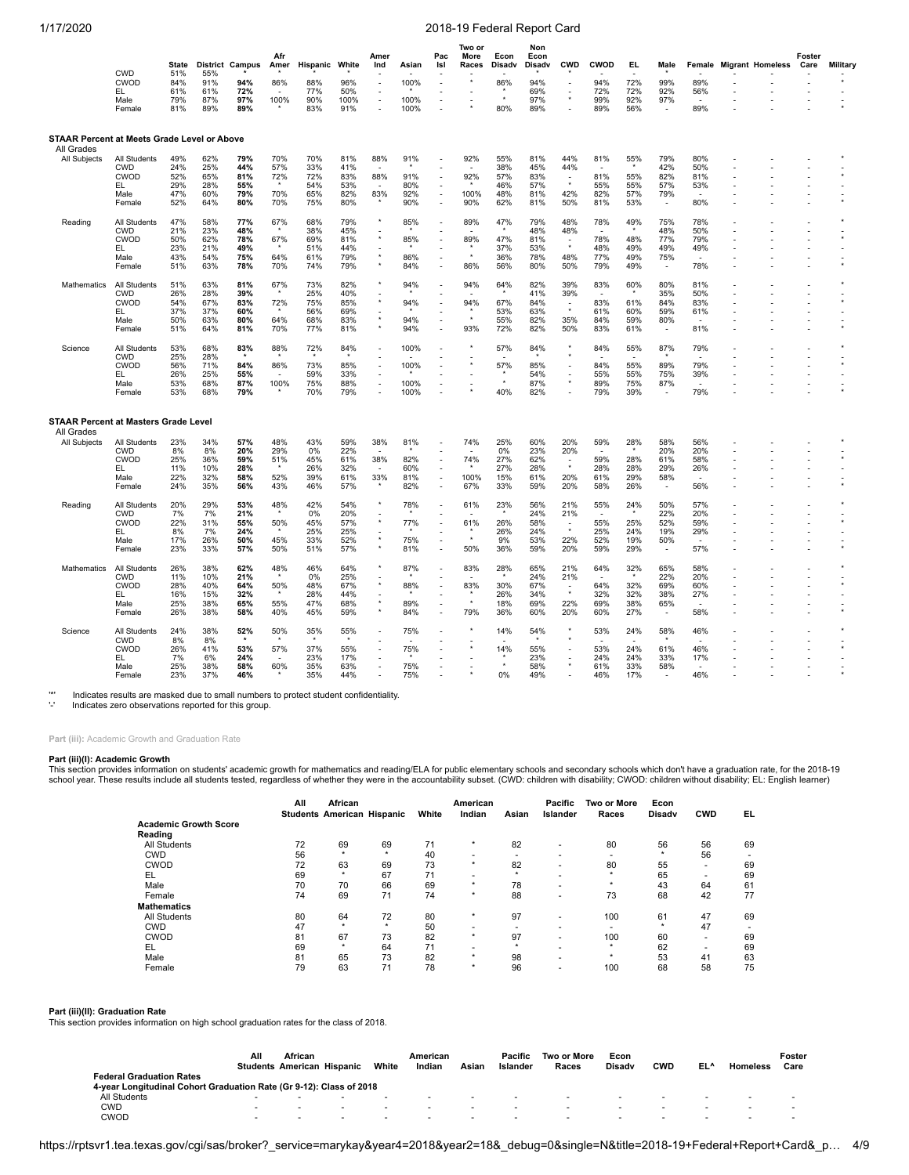|                                                                  | <b>CWD</b>                                                               | <b>State</b><br>51%                    | <b>District</b><br>55%                 | Campus                                 | Afr<br>Amer                     | Hispanic                               | White                                  | Amer<br>Ind                                                                              | Asian                           | Pac<br>Isl                                                                                                                                                           | Two or<br>More<br>Races      | Econ<br>Disadv                         | Non<br>Econ<br>Disadv                  | <b>CWD</b>                                                      | CWOD                                  | EL.                                        | Male                                                        | Female                          | <b>Migrant Homeless</b> | Foster<br>Care | Military |
|------------------------------------------------------------------|--------------------------------------------------------------------------|----------------------------------------|----------------------------------------|----------------------------------------|---------------------------------|----------------------------------------|----------------------------------------|------------------------------------------------------------------------------------------|---------------------------------|----------------------------------------------------------------------------------------------------------------------------------------------------------------------|------------------------------|----------------------------------------|----------------------------------------|-----------------------------------------------------------------|---------------------------------------|--------------------------------------------|-------------------------------------------------------------|---------------------------------|-------------------------|----------------|----------|
|                                                                  | CWOD<br>EL<br>Male<br>Female                                             | 84%<br>61%<br>79%<br>81%               | 91%<br>61%<br>87%<br>89%               | 94%<br>72%<br>97%<br>89%               | 86%<br>100%                     | 88%<br>77%<br>90%<br>83%               | 96%<br>50%<br>100%<br>91%              | ÷,<br>÷<br>$\overline{\phantom{a}}$<br>$\overline{\phantom{a}}$                          | 100%<br>100%<br>100%            | ÷,                                                                                                                                                                   |                              | 86%<br>80%                             | 94%<br>69%<br>97%<br>89%               | $\overline{\phantom{a}}$<br>$^\star$                            | 94%<br>72%<br>99%<br>89%              | 72%<br>72%<br>92%<br>56%                   | 99%<br>92%<br>97%                                           | 89%<br>56%<br>89%               |                         |                |          |
| <b>STAAR Percent at Meets Grade Level or Above</b><br>All Grades |                                                                          |                                        |                                        |                                        |                                 |                                        |                                        |                                                                                          |                                 |                                                                                                                                                                      |                              |                                        |                                        |                                                                 |                                       |                                            |                                                             |                                 |                         |                |          |
| All Subjects                                                     | All Students<br><b>CWD</b><br>CWOD<br>EL<br>Male<br>Female               | 49%<br>24%<br>52%<br>29%<br>47%<br>52% | 62%<br>25%<br>65%<br>28%<br>60%<br>64% | 79%<br>44%<br>81%<br>55%<br>79%<br>80% | 70%<br>57%<br>72%<br>70%<br>70% | 70%<br>33%<br>72%<br>54%<br>65%<br>75% | 81%<br>41%<br>83%<br>53%<br>82%<br>80% | 88%<br>88%<br>83%                                                                        | 91%<br>91%<br>80%<br>92%<br>90% | $\overline{\phantom{a}}$<br>$\overline{\phantom{a}}$<br>$\overline{\phantom{a}}$<br>$\overline{\phantom{a}}$                                                         | 92%<br>92%<br>100%<br>90%    | 55%<br>38%<br>57%<br>46%<br>48%<br>62% | 81%<br>45%<br>83%<br>57%<br>81%<br>81% | 44%<br>44%<br>$\star$<br>42%<br>50%                             | 81%<br>81%<br>55%<br>82%<br>81%       | 55%<br>55%<br>55%<br>57%<br>53%            | 79%<br>42%<br>82%<br>57%<br>79%                             | 80%<br>50%<br>81%<br>53%<br>80% |                         |                |          |
| Reading                                                          | All Students<br>CWD<br>CWOD<br>EL.<br>Male<br>Female                     | 47%<br>21%<br>50%<br>23%<br>43%<br>51% | 58%<br>23%<br>62%<br>21%<br>54%<br>63% | 77%<br>48%<br>78%<br>49%<br>75%<br>78% | 67%<br>67%<br>64%<br>70%        | 68%<br>38%<br>69%<br>51%<br>61%<br>74% | 79%<br>45%<br>81%<br>44%<br>79%<br>79% | $\star$<br><u>.</u><br>$\star$<br>$^\star$                                               | 85%<br>85%<br>86%<br>84%        | $\overline{\phantom{a}}$<br>÷,<br>$\overline{a}$<br>÷,<br>$\sim$<br>$\overline{\phantom{a}}$                                                                         | 89%<br>89%<br>86%            | 47%<br>47%<br>37%<br>36%<br>56%        | 79%<br>48%<br>81%<br>53%<br>78%<br>80% | 48%<br>48%<br>$\star$<br>48%<br>50%                             | 78%<br>78%<br>48%<br>77%<br>79%       | 49%<br>48%<br>49%<br>49%<br>49%            | 75%<br>48%<br>77%<br>49%<br>75%<br>$\overline{\phantom{a}}$ | 78%<br>50%<br>79%<br>49%<br>78% |                         |                |          |
| <b>Mathematics</b>                                               | All Students<br><b>CWD</b><br>CWOD<br>EL<br>Male<br>Female               | 51%<br>26%<br>54%<br>37%<br>50%<br>51% | 63%<br>28%<br>67%<br>37%<br>63%<br>64% | 81%<br>39%<br>83%<br>60%<br>80%<br>81% | 67%<br>72%<br>64%<br>70%        | 73%<br>25%<br>75%<br>56%<br>68%<br>77% | 82%<br>40%<br>85%<br>69%<br>83%<br>81% | $\star$                                                                                  | 94%<br>94%<br>94%<br>94%        | $\overline{\phantom{a}}$<br>٠<br>$\overline{\phantom{a}}$<br>÷,<br>$\overline{\phantom{a}}$<br>÷,                                                                    | 94%<br>94%<br>93%            | 64%<br>67%<br>53%<br>55%<br>72%        | 82%<br>41%<br>84%<br>63%<br>82%<br>82% | 39%<br>39%<br>$\overline{\phantom{a}}$<br>35%<br>50%            | 83%<br>۰.<br>83%<br>61%<br>84%<br>83% | 60%<br>61%<br>60%<br>59%<br>61%            | 80%<br>35%<br>84%<br>59%<br>80%<br>$\overline{\phantom{a}}$ | 81%<br>50%<br>83%<br>61%<br>81% |                         |                |          |
| Science                                                          | All Students<br><b>CWD</b><br><b>CWOD</b><br>EL.<br>Male<br>Female       | 53%<br>25%<br>56%<br>26%<br>53%<br>53% | 68%<br>28%<br>71%<br>25%<br>68%<br>68% | 83%<br>84%<br>55%<br>87%<br>79%        | 88%<br>86%<br>100%              | 72%<br>73%<br>59%<br>75%<br>70%        | 84%<br>85%<br>33%<br>88%<br>79%        | $\overline{\phantom{a}}$<br>÷,<br>÷,<br>$\overline{\phantom{a}}$<br>÷,<br>$\overline{a}$ | 100%<br>100%<br>100%<br>100%    |                                                                                                                                                                      |                              | 57%<br>57%<br>$\star$<br>40%           | 84%<br>85%<br>54%<br>87%<br>82%        | $^\star$<br>÷,<br>$\star$                                       | 84%<br>84%<br>55%<br>89%<br>79%       | 55%<br>55%<br>55%<br>75%<br>39%            | 87%<br>89%<br>75%<br>87%                                    | 79%<br>79%<br>39%<br>79%        |                         |                |          |
| <b>STAAR Percent at Masters Grade Level</b><br>All Grades        |                                                                          |                                        |                                        |                                        |                                 |                                        |                                        |                                                                                          |                                 |                                                                                                                                                                      |                              |                                        |                                        |                                                                 |                                       |                                            |                                                             |                                 |                         |                |          |
| All Subjects                                                     | All Students<br>CWD<br>CWOD<br>EL.<br>Male<br>Female                     | 23%<br>8%<br>25%<br>11%<br>22%<br>24%  | 34%<br>8%<br>36%<br>10%<br>32%<br>35%  | 57%<br>20%<br>59%<br>28%<br>58%<br>56% | 48%<br>29%<br>51%<br>52%<br>43% | 43%<br>0%<br>45%<br>26%<br>39%<br>46%  | 59%<br>22%<br>61%<br>32%<br>61%<br>57% | 38%<br>-<br>38%<br>$\overline{\phantom{a}}$<br>33%<br>$^\star$                           | 81%<br>82%<br>60%<br>81%<br>82% | $\overline{a}$<br>$\overline{\phantom{a}}$<br>$\sim$<br>$\overline{a}$                                                                                               | 74%<br>74%<br>100%<br>67%    | 25%<br>0%<br>27%<br>27%<br>15%<br>33%  | 60%<br>23%<br>62%<br>28%<br>61%<br>59% | 20%<br>20%<br>$\blacksquare$<br>$\star$<br>20%<br>20%           | 59%<br>59%<br>28%<br>61%<br>58%       | 28%<br>$\star$<br>28%<br>28%<br>29%<br>26% | 58%<br>20%<br>61%<br>29%<br>58%<br>$\blacksquare$           | 56%<br>20%<br>58%<br>26%<br>56% |                         |                |          |
| Reading                                                          | All Students<br><b>CWD</b><br>CWOD<br>EL<br>Male<br>Female               | 20%<br>7%<br>22%<br>8%<br>17%<br>23%   | 29%<br>7%<br>31%<br>7%<br>26%<br>33%   | 53%<br>21%<br>55%<br>24%<br>50%<br>57% | 48%<br>50%<br>45%<br>50%        | 42%<br>0%<br>45%<br>25%<br>33%<br>51%  | 54%<br>20%<br>57%<br>25%<br>52%<br>57% | $^\star$<br><u>.</u><br>$\star$<br><u>.</u><br>$^\star$                                  | 78%<br>77%<br>75%<br>81%        | $\overline{\phantom{a}}$<br>$\overline{\phantom{a}}$<br>$\overline{\phantom{a}}$<br>$\overline{\phantom{a}}$<br>$\overline{\phantom{a}}$<br>$\overline{\phantom{a}}$ | 61%<br>61%<br>50%            | 23%<br>26%<br>26%<br>9%<br>36%         | 56%<br>24%<br>58%<br>24%<br>53%<br>59% | 21%<br>21%<br>$\overline{\phantom{a}}$<br>$\star$<br>22%<br>20% | 55%<br>55%<br>25%<br>52%<br>59%       | 24%<br>25%<br>24%<br>19%<br>29%            | 50%<br>22%<br>52%<br>19%<br>50%                             | 57%<br>20%<br>59%<br>29%<br>57% |                         |                |          |
| Mathematics                                                      | <b>All Students</b><br><b>CWD</b><br><b>CWOD</b><br>EL<br>Male<br>Female | 26%<br>11%<br>28%<br>16%<br>25%<br>26% | 38%<br>10%<br>40%<br>15%<br>38%<br>38% | 62%<br>21%<br>64%<br>32%<br>65%<br>58% | 48%<br>50%<br>55%<br>40%        | 46%<br>0%<br>48%<br>28%<br>47%<br>45%  | 64%<br>25%<br>67%<br>44%<br>68%<br>59% | $^\star$<br>$^\star$<br>$\star$                                                          | 87%<br>88%<br>89%<br>84%        | $\sim$<br>$\overline{a}$<br>$\overline{\phantom{a}}$<br>$\overline{a}$<br>÷,<br>$\overline{\phantom{a}}$                                                             | 83%<br>83%<br>$\star$<br>79% | 28%<br>30%<br>26%<br>18%<br>36%        | 65%<br>24%<br>67%<br>34%<br>69%<br>60% | 21%<br>21%<br>$\star$<br>22%<br>20%                             | 64%<br>64%<br>32%<br>69%<br>60%       | 32%<br>32%<br>32%<br>38%<br>27%            | 65%<br>22%<br>69%<br>38%<br>65%                             | 58%<br>20%<br>60%<br>27%<br>58% |                         |                |          |
| Science                                                          | All Students<br><b>CWD</b><br>CWOD<br>EL<br>Male<br>Female               | 24%<br>8%<br>26%<br>7%<br>25%<br>23%   | 38%<br>8%<br>41%<br>6%<br>38%<br>37%   | 52%<br>53%<br>24%<br>58%<br>46%        | 50%<br>57%<br>60%               | 35%<br>37%<br>23%<br>35%<br>35%        | 55%<br>55%<br>17%<br>63%<br>44%        | ÷,<br>$\overline{\phantom{a}}$<br>$\overline{\phantom{a}}$<br>$\overline{\phantom{a}}$   | 75%<br>75%<br>75%<br>75%        | $\overline{a}$<br>÷,<br>÷,                                                                                                                                           |                              | 14%<br>14%<br>0%                       | 54%<br>55%<br>23%<br>58%<br>49%        | $\overline{\phantom{a}}$<br>$\star$                             | 53%<br>53%<br>24%<br>61%<br>46%       | 24%<br>24%<br>24%<br>33%<br>17%            | 58%<br>61%<br>33%<br>58%                                    | 46%<br>46%<br>17%<br>46%        |                         |                |          |

'\*' Indicates results are masked due to small numbers to protect student confidentiality. '-' Indicates zero observations reported for this group.

**Part (iii):** Academic Growth and Graduation Rate

**Part (iii)(I): Academic Growth**<br>This section provides information on students' academic growth for mathematics and reading/ELA for public elementary schools and secondary schools which don't have a graduation rate, for th

|                              | All | African<br><b>Students American Hispanic</b> |         | White | American<br>Indian | Asian   | <b>Pacific</b><br>Islander | Two or More<br>Races     | Econ<br><b>Disady</b> | <b>CWD</b> | EL. |
|------------------------------|-----|----------------------------------------------|---------|-------|--------------------|---------|----------------------------|--------------------------|-----------------------|------------|-----|
| <b>Academic Growth Score</b> |     |                                              |         |       |                    |         |                            |                          |                       |            |     |
| Reading                      |     |                                              |         |       |                    |         |                            |                          |                       |            |     |
| All Students                 | 72  | 69                                           | 69      | 71    | $\star$            | 82      | ۰                          | 80                       | 56                    | 56         | 69  |
| <b>CWD</b>                   | 56  | $\star$                                      | $\star$ | 40    | ۰                  |         | ۰                          | $\overline{\phantom{a}}$ | $\star$               | 56         |     |
| CWOD                         | 72  | 63                                           | 69      | 73    | $\star$            | 82      | ۰                          | 80                       | 55                    |            | 69  |
| EL                           | 69  | $\star$                                      | 67      | 71    |                    | $\star$ | ۰                          | $\star$                  | 65                    |            | 69  |
| Male                         | 70  | 70                                           | 66      | 69    | $\star$            | 78      |                            | $\star$                  | 43                    | 64         | 61  |
| Female                       | 74  | 69                                           | 71      | 74    | $\star$            | 88      | ۰                          | 73                       | 68                    | 42         | 77  |
| <b>Mathematics</b>           |     |                                              |         |       |                    |         |                            |                          |                       |            |     |
| All Students                 | 80  | 64                                           | 72      | 80    | $\star$            | 97      | ۰                          | 100                      | 61                    | 47         | 69  |
| <b>CWD</b>                   | 47  | $\star$                                      | $\star$ | 50    | ۰                  |         | ۰                          | $\overline{\phantom{a}}$ | $\star$               | 47         |     |
| CWOD                         | 81  | 67                                           | 73      | 82    | $\star$            | 97      |                            | 100                      | 60                    |            | 69  |
| EL.                          | 69  | $\star$                                      | 64      | 71    |                    | $\star$ | ۰                          | $\star$                  | 62                    | <b>100</b> | 69  |
| Male                         | 81  | 65                                           | 73      | 82    | $\star$            | 98      |                            | $\star$                  | 53                    | 41         | 63  |
| Female                       | 79  | 63                                           | 71      | 78    | $\star$            | 96      | ۰                          | 100                      | 68                    | 58         | 75  |

**Part (iii)(II): Graduation Rate** This section provides information on high school graduation rates for the class of 2018.

|                                                                     | All                      | African                           |       | American |       | Pacific  | Two or More              | Econ                     |            |     |                 | Foster |  |
|---------------------------------------------------------------------|--------------------------|-----------------------------------|-------|----------|-------|----------|--------------------------|--------------------------|------------|-----|-----------------|--------|--|
|                                                                     |                          | <b>Students American Hispanic</b> | White | Indian   | Asian | Islander | Races                    | <b>Disady</b>            | <b>CWD</b> | EL' | <b>Homeless</b> | Care   |  |
| <b>Federal Graduation Rates</b>                                     |                          |                                   |       |          |       |          |                          |                          |            |     |                 |        |  |
| 4-year Longitudinal Cohort Graduation Rate (Gr 9-12): Class of 2018 |                          |                                   |       |          |       |          |                          |                          |            |     |                 |        |  |
| All Students                                                        |                          |                                   |       |          |       |          |                          |                          |            |     |                 |        |  |
| CWD                                                                 | $\overline{\phantom{a}}$ |                                   |       | . .      |       |          |                          | $\overline{\phantom{a}}$ |            |     |                 |        |  |
| CWOD                                                                |                          |                                   |       |          |       |          | $\overline{\phantom{a}}$ | $\sim$                   |            |     |                 |        |  |
|                                                                     |                          |                                   |       |          |       |          |                          |                          |            |     |                 |        |  |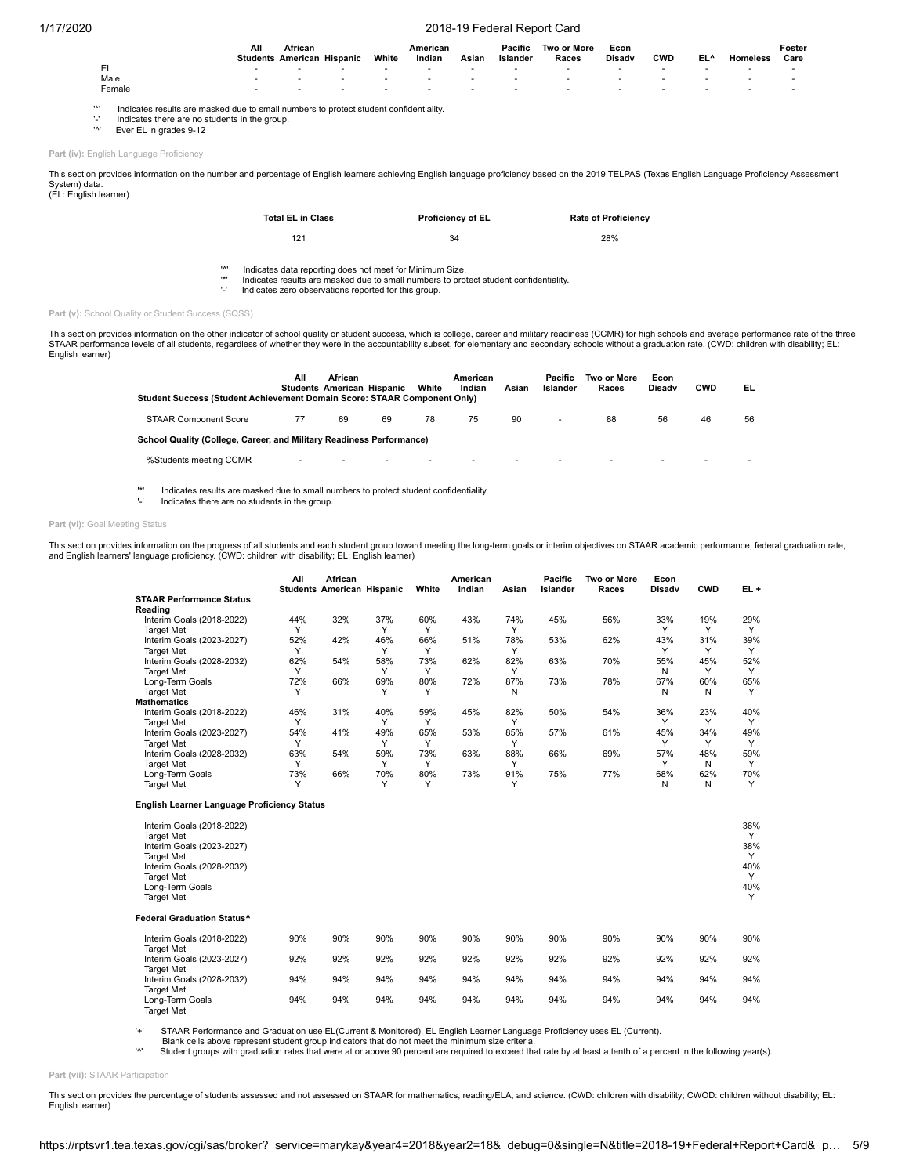|          |                                                                                       | All | African<br><b>Students American Hispanic</b> | White                    | American<br>Indian | Asian                    | Pacific<br>Islander | Two or More<br>Races     | Econ<br><b>Disady</b> | <b>CWD</b> | EL^ | Homeless | Foster<br>Care |
|----------|---------------------------------------------------------------------------------------|-----|----------------------------------------------|--------------------------|--------------------|--------------------------|---------------------|--------------------------|-----------------------|------------|-----|----------|----------------|
|          |                                                                                       |     | $\overline{\phantom{a}}$                     | $\overline{\phantom{a}}$ |                    | $\overline{\phantom{a}}$ |                     | $\overline{\phantom{a}}$ |                       |            |     |          |                |
|          | Male                                                                                  |     |                                              | $\sim$                   |                    |                          |                     |                          |                       |            |     |          |                |
|          | Female                                                                                | ۰   | $\overline{\phantom{a}}$                     | $\sim$                   |                    | $\overline{\phantom{a}}$ |                     | $\overline{\phantom{a}}$ |                       | ٠          |     |          |                |
|          |                                                                                       |     |                                              |                          |                    |                          |                     |                          |                       |            |     |          |                |
| $1 + 1$  | Indicates results are masked due to small numbers to protect student confidentiality. |     |                                              |                          |                    |                          |                     |                          |                       |            |     |          |                |
| $\cdots$ | Indicates there are no students in the group.                                         |     |                                              |                          |                    |                          |                     |                          |                       |            |     |          |                |

<sup>1</sup> Ever EL in grades 9-12

**Part (iv):** English Language Proficiency

This section provides information on the number and percentage of English learners achieving English language proficiency based on the 2019 TELPAS (Texas English Language Proficiency Assessment System) data. (EL: English learner)

| <b>Total EL in Class</b> | <b>Proficiency of EL</b> | <b>Rate of Proficiency</b> |
|--------------------------|--------------------------|----------------------------|
| 121                      | 34                       | 28%                        |

'^' Indicates data reporting does not meet for Minimum Size.

'\*' Indicates results are masked due to small numbers to protect student confidentiality.

'-' Indicates zero observations reported for this group.

Part (v): School Quality or Student Success (SQSS)

This section provides information on the other indicator of school quality or student success, which is college, career and military readiness (CCMR) for high schools and average performance rate of the three<br>STAAR perform English learner)

| Student Success (Student Achievement Domain Score: STAAR Component Only) | All                      | African<br><b>Students American Hispanic</b> |    | White | American<br>Indian | Asian                    | Pacific<br>Islander | Two or More<br>Races | Econ<br><b>Disady</b> | <b>CWD</b> | EL |
|--------------------------------------------------------------------------|--------------------------|----------------------------------------------|----|-------|--------------------|--------------------------|---------------------|----------------------|-----------------------|------------|----|
| <b>STAAR Component Score</b>                                             | 77                       | 69                                           | 69 | 78    | 75                 | 90                       | ٠                   | 88                   | 56                    | 46         | 56 |
| School Quality (College, Career, and Military Readiness Performance)     |                          |                                              |    |       |                    |                          |                     |                      |                       |            |    |
| %Students meeting CCMR                                                   | $\overline{\phantom{a}}$ | ٠                                            |    | ۰     |                    | $\overline{\phantom{a}}$ |                     | $\sim$               |                       |            |    |

'\*' Indicates results are masked due to small numbers to protect student confidentiality.

'-' Indicates there are no students in the group.

#### Part (vi): Goal Meeting Status

This section provides information on the progress of all students and each student group toward meeting the long-term goals or interim objectives on STAAR academic performance, federal graduation rate,<br>and English learners

|                                                    | All | African<br><b>Students American Hispanic</b> |     | White | American<br>Indian | Asian | <b>Pacific</b><br>Islander | Two or More<br>Races | Econ<br><b>Disadv</b> | <b>CWD</b> | EL+      |
|----------------------------------------------------|-----|----------------------------------------------|-----|-------|--------------------|-------|----------------------------|----------------------|-----------------------|------------|----------|
| <b>STAAR Performance Status</b>                    |     |                                              |     |       |                    |       |                            |                      |                       |            |          |
| Reading                                            |     |                                              |     |       |                    |       |                            |                      |                       |            |          |
| Interim Goals (2018-2022)                          | 44% | 32%                                          | 37% | 60%   | 43%                | 74%   | 45%                        | 56%                  | 33%                   | 19%        | 29%      |
| <b>Target Met</b>                                  | Y   |                                              | Y   | Υ     |                    | Y     |                            |                      | Y                     | Y          | Y        |
| Interim Goals (2023-2027)                          | 52% | 42%                                          | 46% | 66%   | 51%                | 78%   | 53%                        | 62%                  | 43%                   | 31%        | 39%      |
| <b>Target Met</b>                                  | Y   |                                              | Y   | Y     |                    | Y     |                            |                      | Y                     | Y          | Y        |
| Interim Goals (2028-2032)                          | 62% | 54%                                          | 58% | 73%   | 62%                | 82%   | 63%                        | 70%                  | 55%                   | 45%        | 52%      |
| <b>Target Met</b>                                  | Y   |                                              | Y   | Y     |                    | Y     |                            |                      | N                     | Y          | Y        |
| Long-Term Goals                                    | 72% | 66%                                          | 69% | 80%   | 72%                | 87%   | 73%                        | 78%                  | 67%                   | 60%        | 65%      |
| <b>Target Met</b>                                  | Y   |                                              | Υ   | Υ     |                    | N     |                            |                      | N                     | N          | Y        |
| <b>Mathematics</b>                                 |     |                                              |     |       |                    |       |                            |                      |                       |            |          |
| Interim Goals (2018-2022)                          | 46% | 31%                                          | 40% | 59%   | 45%                | 82%   | 50%                        | 54%                  | 36%                   | 23%        | 40%      |
| <b>Target Met</b>                                  | Y   |                                              | Y   | Y     |                    | Y     |                            |                      | Y                     | Y          | Y        |
| Interim Goals (2023-2027)                          | 54% | 41%                                          | 49% | 65%   | 53%                | 85%   | 57%                        | 61%                  | 45%                   | 34%        | 49%      |
| <b>Target Met</b>                                  | Y   |                                              | Υ   | Y     |                    | Y     |                            |                      | Y                     | Y          | Y        |
| Interim Goals (2028-2032)                          | 63% | 54%                                          | 59% | 73%   | 63%                | 88%   | 66%                        | 69%                  | 57%                   | 48%        | 59%      |
| <b>Target Met</b>                                  | Y   |                                              | Y   | Y     |                    | Y     |                            |                      | Y                     | N          | Y        |
| Long-Term Goals                                    | 73% | 66%                                          | 70% | 80%   | 73%                | 91%   | 75%                        | 77%                  | 68%                   | 62%        | 70%      |
| <b>Target Met</b>                                  | Υ   |                                              | Υ   | Υ     |                    | Y     |                            |                      | N                     | N          | Y        |
| <b>English Learner Language Proficiency Status</b> |     |                                              |     |       |                    |       |                            |                      |                       |            |          |
| Interim Goals (2018-2022)<br><b>Target Met</b>     |     |                                              |     |       |                    |       |                            |                      |                       |            | 36%<br>Y |
| Interim Goals (2023-2027)                          |     |                                              |     |       |                    |       |                            |                      |                       |            | 38%      |
| <b>Target Met</b>                                  |     |                                              |     |       |                    |       |                            |                      |                       |            | Y        |
| Interim Goals (2028-2032)                          |     |                                              |     |       |                    |       |                            |                      |                       |            | 40%      |
| <b>Target Met</b>                                  |     |                                              |     |       |                    |       |                            |                      |                       |            | Y        |
| Long-Term Goals                                    |     |                                              |     |       |                    |       |                            |                      |                       |            | 40%      |
| <b>Target Met</b>                                  |     |                                              |     |       |                    |       |                            |                      |                       |            | Y        |
| Federal Graduation Status^                         |     |                                              |     |       |                    |       |                            |                      |                       |            |          |
| Interim Goals (2018-2022)                          | 90% | 90%                                          | 90% | 90%   | 90%                | 90%   | 90%                        | 90%                  | 90%                   | 90%        | 90%      |
| <b>Target Met</b>                                  |     |                                              |     |       |                    |       |                            |                      |                       |            |          |
| Interim Goals (2023-2027)                          | 92% | 92%                                          | 92% | 92%   | 92%                | 92%   | 92%                        | 92%                  | 92%                   | 92%        | 92%      |
| <b>Target Met</b>                                  |     |                                              |     |       |                    |       |                            |                      |                       |            |          |
| Interim Goals (2028-2032)                          | 94% | 94%                                          | 94% | 94%   | 94%                | 94%   | 94%                        | 94%                  | 94%                   | 94%        | 94%      |
| <b>Target Met</b>                                  |     |                                              |     |       |                    |       |                            |                      |                       |            |          |
| Long-Term Goals<br><b>Target Met</b>               | 94% | 94%                                          | 94% | 94%   | 94%                | 94%   | 94%                        | 94%                  | 94%                   | 94%        | 94%      |

'+' STAAR Performance and Graduation use EL(Current & Monitored), EL English Learner Language Proficiency uses EL (Current).

Blank cells above represent student group indicators that do not meet the minimum size criteria.<br>
<sup>14</sup> Student groups with graduation rates that were at or above 90 percent are required to exceed the

Student groups with graduation rates that were at or above 90 percent are required to exceed that rate by at least a tenth of a percent in the following year(s).

**Part (vii):** STAAR Participation

This section provides the percentage of students assessed and not assessed on STAAR for mathematics, reading/ELA, and science. (CWD: children with disability; CWOD: children without disability; EL: English learner)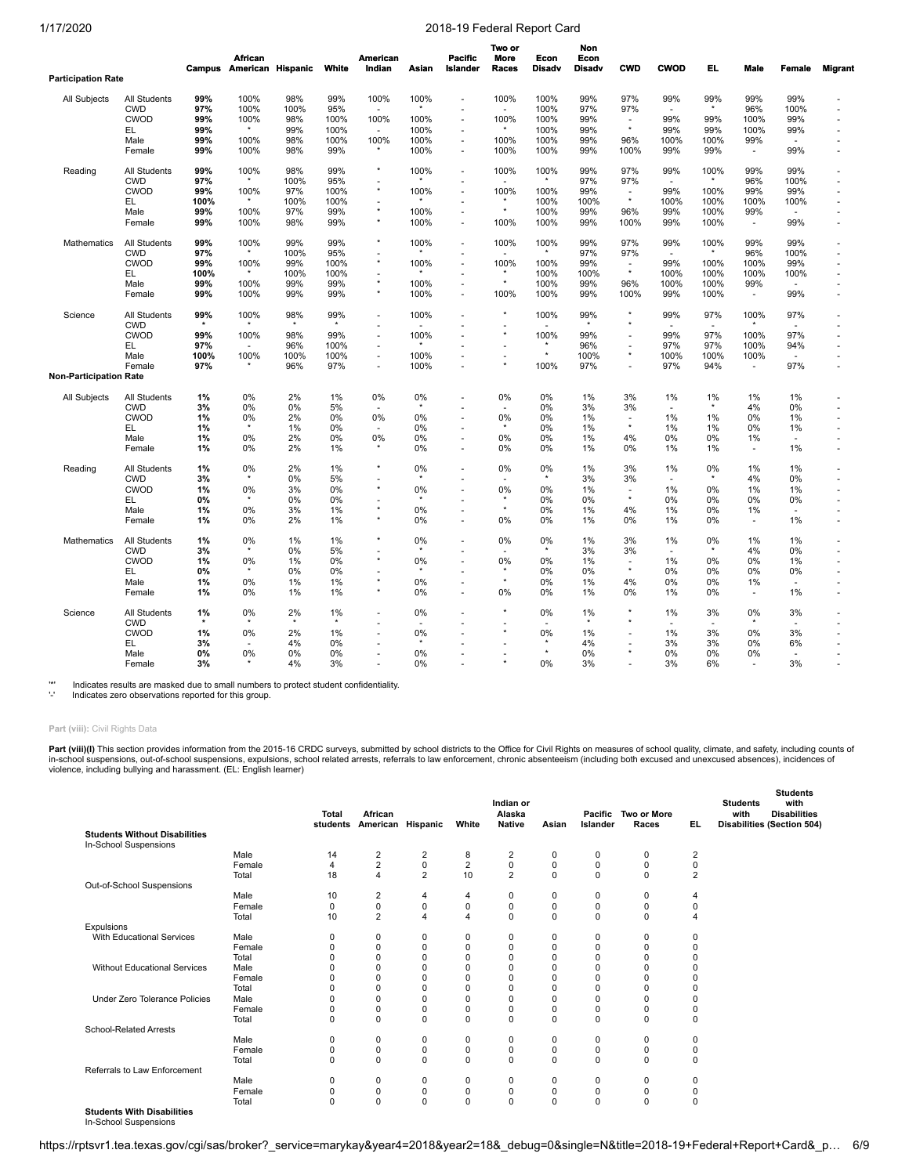|                           |                            | Campus | <b>African</b><br>American Hispanic |      | White | American<br>Indian | Asian         | <b>Pacific</b><br>Islander | Two or<br><b>More</b><br>Races | Econ<br><b>Disadv</b> | Non<br>Econ<br><b>Disadv</b> | <b>CWD</b>               | <b>CWOD</b>              | EL.           | Male                     | Female | <b>Migrant</b> |
|---------------------------|----------------------------|--------|-------------------------------------|------|-------|--------------------|---------------|----------------------------|--------------------------------|-----------------------|------------------------------|--------------------------|--------------------------|---------------|--------------------------|--------|----------------|
| <b>Participation Rate</b> |                            |        |                                     |      |       |                    |               |                            |                                |                       |                              |                          |                          |               |                          |        |                |
| All Subjects              | All Students               | 99%    | 100%                                | 98%  | 99%   | 100%               | 100%          | ٠                          | 100%                           | 100%                  | 99%                          | 97%                      | 99%                      | 99%           | 99%                      | 99%    |                |
|                           | <b>CWD</b>                 | 97%    | 100%                                | 100% | 95%   | ÷.                 | $\star$       |                            |                                | 100%                  | 97%                          | 97%                      |                          | $\star$       | 96%                      | 100%   |                |
|                           | CWOD                       | 99%    | 100%                                | 98%  | 100%  | 100%               | 100%          |                            | 100%                           | 100%                  | 99%                          | $\sim$                   | 99%                      | 99%           | 100%                     | 99%    |                |
|                           | EL.                        | 99%    |                                     | 99%  | 100%  | ÷.                 | 100%          |                            |                                | 100%                  | 99%                          | $^\star$                 | 99%                      | 99%           | 100%                     | 99%    |                |
|                           | Male                       | 99%    | 100%                                | 98%  | 100%  | 100%               | 100%          | ٠                          | 100%                           | 100%                  | 99%                          | 96%                      | 100%                     | 100%          | 99%                      |        |                |
|                           | Female                     | 99%    | 100%                                | 98%  | 99%   | $^\star$           | 100%          | ٠                          | 100%                           | 100%                  | 99%                          | 100%                     | 99%                      | 99%           | $\sim$                   | 99%    |                |
| Reading                   | All Students               | 99%    | 100%                                | 98%  | 99%   | $\star$            | 100%          | ٠                          | 100%                           | 100%                  | 99%                          | 97%                      | 99%                      | 100%          | 99%                      | 99%    |                |
|                           | <b>CWD</b>                 | 97%    |                                     | 100% | 95%   |                    |               |                            |                                |                       | 97%                          | 97%                      |                          |               | 96%                      | 100%   |                |
|                           |                            |        |                                     |      |       | ٠<br>$\star$       |               |                            |                                |                       |                              |                          |                          |               |                          |        |                |
|                           | CWOD                       | 99%    | 100%                                | 97%  | 100%  |                    | 100%          | ÷                          | 100%                           | 100%                  | 99%                          | $\sim$<br>$^\star$       | 99%                      | 100%          | 99%                      | 99%    |                |
|                           | EL.                        | 100%   |                                     | 100% | 100%  |                    |               |                            |                                | 100%                  | 100%                         |                          | 100%                     | 100%          | 100%                     | 100%   |                |
|                           | Male                       | 99%    | 100%                                | 97%  | 99%   | $^\star$           | 100%          | $\overline{\phantom{a}}$   | $\star$                        | 100%                  | 99%                          | 96%                      | 99%                      | 100%          | 99%                      | $\sim$ |                |
|                           | Female                     | 99%    | 100%                                | 98%  | 99%   | $^\star$           | 100%          | $\tilde{\phantom{a}}$      | 100%                           | 100%                  | 99%                          | 100%                     | 99%                      | 100%          | $\overline{\phantom{a}}$ | 99%    |                |
| <b>Mathematics</b>        | <b>All Students</b>        | 99%    | 100%                                | 99%  | 99%   | $\star$            | 100%          | ۰                          | 100%                           | 100%                  | 99%                          | 97%                      | 99%                      | 100%          | 99%                      | 99%    |                |
|                           | <b>CWD</b>                 | 97%    |                                     | 100% | 95%   |                    |               |                            |                                | $\star$               | 97%                          | 97%                      | $\overline{a}$           | ×             | 96%                      | 100%   |                |
|                           | CWOD                       | 99%    | 100%                                | 99%  | 100%  | $\star$            | 100%          | ä,                         | 100%                           | 100%                  | 99%                          | $\sim$                   | 99%                      | 100%          | 100%                     | 99%    |                |
|                           | EL.                        | 100%   |                                     | 100% | 100%  | ٠                  |               |                            | $\star$                        | 100%                  | 100%                         | $^\star$                 | 100%                     | 100%          | 100%                     | 100%   |                |
|                           | Male                       | 99%    | 100%                                | 99%  | 99%   | $^\star$           | 100%          | $\tilde{\phantom{a}}$      | $\star$                        | 100%                  | 99%                          | 96%                      | 100%                     | 100%          | 99%                      |        |                |
|                           | Female                     | 99%    | 100%                                | 99%  | 99%   | $\star$            | 100%          |                            | 100%                           | 100%                  | 99%                          | 100%                     | 99%                      | 100%          | $\blacksquare$           | 99%    |                |
| Science                   | All Students               | 99%    | 100%                                | 98%  | 99%   | ٠                  | 100%          | ×.                         | $\star$                        | 100%                  | 99%<br>$\star$               | ×<br>$\star$             | 99%                      | 97%           | 100%                     | 97%    |                |
|                           | <b>CWD</b>                 |        |                                     |      |       | ٠                  |               |                            | $\star$                        |                       |                              |                          |                          |               |                          |        |                |
|                           | CWOD                       | 99%    | 100%                                | 98%  | 99%   | ٠                  | 100%          |                            |                                | 100%                  | 99%                          | $\overline{\phantom{a}}$ | 99%                      | 97%           | 100%                     | 97%    |                |
|                           | EL                         | 97%    |                                     | 96%  | 100%  | ÷.                 |               |                            |                                |                       | 96%                          |                          | 97%                      | 97%           | 100%                     | 94%    |                |
|                           | Male                       | 100%   | 100%                                | 100% | 100%  | $\sim$             | 100%          | ٠                          | ÷.                             | $^\star$              | 100%                         | $\star$                  | 100%                     | 100%          | 100%                     | ÷.     |                |
|                           | Female                     | 97%    |                                     | 96%  | 97%   | ٠                  | 100%          |                            | $\star$                        | 100%                  | 97%                          |                          | 97%                      | 94%           | $\blacksquare$           | 97%    |                |
| Non-Participation Rate    |                            |        |                                     |      |       |                    |               |                            |                                |                       |                              |                          |                          |               |                          |        |                |
| All Subjects              | All Students               | 1%     | 0%                                  | 2%   | 1%    | 0%                 | 0%            | ÷                          | 0%                             | 0%                    | 1%                           | 3%                       | 1%                       | 1%            | 1%                       | 1%     |                |
|                           | <b>CWD</b>                 | 3%     | 0%                                  | 0%   | 5%    | $\overline{a}$     | $\star$       |                            | $\overline{\phantom{a}}$       | 0%                    | 3%                           | 3%                       | $\overline{a}$           | $\star$       | 4%                       | 0%     |                |
|                           | CWOD                       | 1%     | 0%                                  | 2%   | $0\%$ | 0%                 | 0%            |                            | 0%                             | 0%                    | 1%                           | ÷,                       | 1%                       | 1%            | 0%                       | 1%     |                |
|                           | EL                         | 1%     | $\star$                             | 1%   | $0\%$ |                    | 0%            |                            | $\star$                        | 0%                    | 1%                           | $\star$                  | 1%                       | 1%            | 0%                       | 1%     |                |
|                           | Male                       | 1%     | 0%                                  | 2%   | 0%    | 0%                 | 0%            |                            | 0%                             | 0%                    | 1%                           | 4%                       | 0%                       | 0%            | 1%                       | ÷.     |                |
|                           | Female                     | 1%     | 0%                                  | 2%   | 1%    |                    | 0%            | ٠                          | 0%                             | 0%                    | 1%                           | 0%                       | 1%                       | 1%            | $\overline{a}$           | 1%     |                |
| Reading                   | All Students               | 1%     | 0%                                  | 2%   | 1%    | $\star$            | 0%            |                            | 0%                             | 0%                    | 1%                           | 3%                       | 1%                       | 0%            | 1%                       | $1\%$  |                |
|                           | <b>CWD</b>                 | 3%     |                                     | 0%   | 5%    | ٠                  | $\star$       |                            | ۰                              | $\star$               | 3%                           | 3%                       | $\sim$                   |               | 4%                       | 0%     |                |
|                           | CWOD                       | 1%     | 0%                                  | 3%   | 0%    | $^\star$           | 0%            |                            | 0%                             | 0%                    | 1%                           | $\overline{\phantom{a}}$ | 1%                       | 0%            | 1%                       | 1%     |                |
|                           | EL                         | 0%     | $\star$                             | 0%   | $0\%$ | ٠                  | $\star$       |                            | $\star$                        | 0%                    | 0%                           | $\star$                  | $0\%$                    | $0\%$         | 0%                       | 0%     |                |
|                           | Male                       | 1%     | 0%                                  | 3%   | 1%    | $^\star$           | 0%            |                            | $\star$                        | 0%                    | 1%                           | 4%                       | 1%                       | $0\%$         | 1%                       |        |                |
|                           | Female                     | 1%     | 0%                                  | 2%   | 1%    | $^\star$           | 0%            |                            | 0%                             | 0%                    | 1%                           | 0%                       | 1%                       | $0\%$         | $\blacksquare$           | 1%     |                |
|                           |                            |        |                                     |      |       | $\star$            |               |                            |                                |                       |                              |                          |                          |               |                          |        |                |
| Mathematics               | All Students               | 1%     | 0%<br>$\star$                       | 1%   | 1%    |                    | 0%<br>$\star$ |                            | 0%                             | 0%<br>$\star$         | 1%                           | 3%                       | 1%                       | 0%<br>$\star$ | 1%                       | 1%     |                |
|                           | <b>CWD</b>                 | 3%     |                                     | 0%   | 5%    | ٠<br>$\star$       |               |                            | ÷.                             |                       | 3%                           | 3%                       | $\overline{\phantom{a}}$ |               | 4%                       | 0%     |                |
|                           | CWOD                       | 1%     | 0%                                  | 1%   | 0%    |                    | 0%            |                            | 0%                             | 0%                    | 1%                           | $\sim$                   | 1%                       | 0%            | 0%                       | 1%     |                |
|                           | EL                         | 0%     |                                     | 0%   | 0%    | ٠                  | $\star$       |                            | $\star$                        | 0%                    | 0%                           | $\star$                  | 0%                       | 0%            | 0%                       | 0%     |                |
|                           | Male                       | 1%     | 0%                                  | 1%   | 1%    | $\star$            | 0%            |                            | $\star$                        | 0%                    | 1%                           | 4%                       | 0%                       | $0\%$         | 1%                       | ÷.     |                |
|                           | Female                     | 1%     | 0%                                  | 1%   | 1%    | $\star$            | 0%            | ÷                          | 0%                             | 0%                    | 1%                           | 0%                       | 1%                       | 0%            | $\blacksquare$           | 1%     |                |
| Science                   | All Students<br><b>CWD</b> | 1%     | 0%                                  | 2%   | 1%    | J.<br>٠            | 0%<br>۰.      |                            |                                | 0%                    | 1%<br>$\star$                |                          | 1%<br>$\sim$             | 3%<br>$\sim$  | 0%                       | 3%     |                |
|                           | CWOD                       | 1%     | 0%                                  | 2%   | 1%    | $\sim$             | 0%            |                            | $\star$                        | 0%                    | 1%                           |                          | 1%                       | 3%            | 0%                       | 3%     |                |
|                           | EL.                        | 3%     |                                     | 4%   | 0%    | ÷.                 | $\star$       |                            | ÷                              | $\star$               | 4%                           | J.                       | 3%                       | 3%            | 0%                       | 6%     |                |
|                           |                            |        |                                     |      |       | ×.                 |               |                            |                                | $\star$               |                              | ٠                        |                          |               |                          |        |                |
|                           | Male                       | 0%     | 0%                                  | 0%   | 0%    |                    | 0%            |                            | $\star$                        |                       | 0%                           |                          | 0%                       | 0%            | 0%                       |        |                |
|                           | Female                     | 3%     |                                     | 4%   | 3%    |                    | 0%            |                            |                                | 0%                    | 3%                           |                          | 3%                       | 6%            | $\overline{a}$           | 3%     |                |

'\*' Indicates results are masked due to small numbers to protect student confidentiality.

Indicates zero observations reported for this group.

## **Part (viii):** Civil Rights Data

**Part (viii)(I)** This section provides information from the 2015-16 CRDC surveys, submitted by school districts to the Office for Civil Rights on measures of school quality, climate, and safety, including counts of<br>in-scho

|                                      |        |                      |                         |                |                 | Indian or      |          |                |             |                  | <b>Students</b><br>with<br><b>Students</b> |
|--------------------------------------|--------|----------------------|-------------------------|----------------|-----------------|----------------|----------|----------------|-------------|------------------|--------------------------------------------|
|                                      |        | <b>Total</b>         | African                 |                |                 | Alaska         |          | Pacific        | Two or More |                  | with<br><b>Disabilities</b>                |
| <b>Students Without Disabilities</b> |        | students             | American Hispanic       |                | White           | Native         | Asian    | Islander       | Races       | EL.              | <b>Disabilities (Section 504)</b>          |
| In-School Suspensions                |        |                      |                         |                |                 |                |          |                |             |                  |                                            |
|                                      | Male   |                      |                         |                |                 |                |          |                |             |                  |                                            |
|                                      | Female | 14<br>$\overline{4}$ | $\frac{2}{2}$           | $_0^2$         | 8<br>$\sqrt{2}$ | 2<br>0         | 0<br>0   | 0<br>$\pmb{0}$ | 0           | 2<br>$\mathbf 0$ |                                            |
|                                      |        |                      |                         | $\overline{2}$ |                 |                |          |                | $\pmb{0}$   |                  |                                            |
|                                      | Total  | 18                   | $\overline{\mathbf{4}}$ |                | 10              | $\overline{2}$ | $\Omega$ | $\mathbf 0$    | $\mathbf 0$ | $\overline{2}$   |                                            |
| Out-of-School Suspensions            |        |                      |                         |                |                 |                |          |                |             |                  |                                            |
|                                      | Male   | 10                   | 2                       | 4              | 4               | 0              | 0        | 0              | 0           | 4                |                                            |
|                                      | Female | 0                    | 0                       | 0              | $\mathbf 0$     | 0              | 0        | 0              | 0           | 0                |                                            |
|                                      | Total  | 10                   | $\overline{2}$          | $\overline{4}$ | $\overline{4}$  | 0              | $\Omega$ | $\mathbf 0$    | $\mathbf 0$ | 4                |                                            |
| Expulsions                           |        |                      |                         |                |                 |                |          |                |             |                  |                                            |
| With Educational Services            | Male   | 0                    | 0                       | 0              | 0               | 0              | 0        | $\mathbf 0$    | 0           | 0                |                                            |
|                                      | Female | 0                    | $\Omega$                | $\pmb{0}$      | $\mathbf 0$     | 0              | 0        | $\mathbf 0$    | 0           | $\Omega$         |                                            |
|                                      | Total  |                      | $\Omega$                | 0              | $\mathbf 0$     | 0              | O        | $\Omega$       | 0           |                  |                                            |
| Without Educational Services         | Male   |                      | $\Omega$                | 0              | $\mathbf 0$     | O              | O        | $\Omega$       | 0           |                  |                                            |
|                                      | Female |                      |                         | 0              | $\mathbf 0$     | 0              | $\Omega$ | $\Omega$       | 0           |                  |                                            |
|                                      | Total  | O                    | $\Omega$                | 0              | $\mathbf 0$     | 0              | O        | $\Omega$       | 0           | O                |                                            |
| Under Zero Tolerance Policies        | Male   |                      | $\Omega$                | 0              | $\mathbf 0$     | 0              | O        | $\Omega$       | 0           | C                |                                            |
|                                      | Female | 0                    | 0                       | $\pmb{0}$      | $\mathbf 0$     | 0              | 0        | $\mathbf 0$    | 0           | $\Omega$         |                                            |
|                                      | Total  | $\Omega$             | $\Omega$                | $\mathbf 0$    | $\Omega$        | 0              | $\Omega$ | $\Omega$       | $\Omega$    | $\Omega$         |                                            |
| <b>School-Related Arrests</b>        |        |                      |                         |                |                 |                |          |                |             |                  |                                            |
|                                      | Male   | 0                    | 0                       | 0              | 0               | 0              | 0        | $\mathbf 0$    | 0           | $\Omega$         |                                            |
|                                      | Female | 0                    | 0                       | 0              | $\mathbf 0$     | 0              | 0        | 0              | 0           | 0                |                                            |
|                                      | Total  | 0                    | 0                       | $\mathbf 0$    | $\mathbf 0$     | 0              | $\Omega$ | $\mathbf 0$    | $\mathbf 0$ | $\Omega$         |                                            |
| Referrals to Law Enforcement         |        |                      |                         |                |                 |                |          |                |             |                  |                                            |
|                                      | Male   | 0                    | 0                       | 0              | 0               | 0              | 0        | 0              | 0           | 0                |                                            |
|                                      | Female | $\Omega$             | 0                       | 0              | $\mathbf 0$     | 0              | $\Omega$ | $\Omega$       | 0           | O                |                                            |
|                                      | Total  | $\Omega$             | $\Omega$                | 0              | $\mathbf 0$     | 0              | $\Omega$ | $\Omega$       | $\Omega$    | $\Omega$         |                                            |

**Students With Disabilities** In-School Suspensions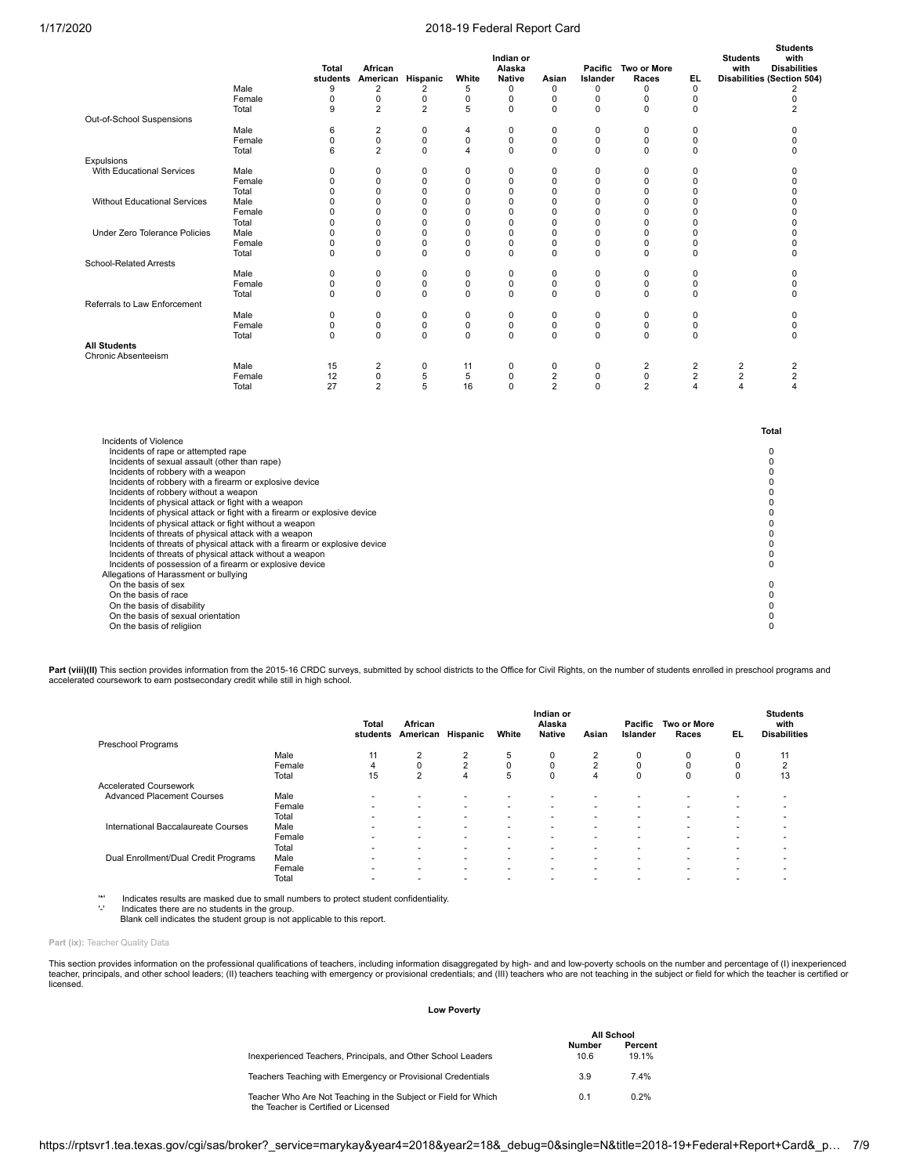|                                                                                                                                                                                                                                                                                                                                                                                                                                                                                                                                                                                                                                                                                                                                                              | Male            | Total<br>9  | African<br>students American Hispanic<br>$\overline{2}$ | 2                        | White<br>5  | Indian or<br>Alaska<br><b>Native</b><br>0 | Asian<br>0                       | Islander<br>$\mathbf 0$    | Pacific Two or More<br>Races<br>0 | EL.<br>$\mathbf 0$               | <b>Students</b><br>with          | <b>Students</b><br>with<br><b>Disabilities</b><br><b>Disabilities (Section 504)</b><br>$\overline{2}$ |
|--------------------------------------------------------------------------------------------------------------------------------------------------------------------------------------------------------------------------------------------------------------------------------------------------------------------------------------------------------------------------------------------------------------------------------------------------------------------------------------------------------------------------------------------------------------------------------------------------------------------------------------------------------------------------------------------------------------------------------------------------------------|-----------------|-------------|---------------------------------------------------------|--------------------------|-------------|-------------------------------------------|----------------------------------|----------------------------|-----------------------------------|----------------------------------|----------------------------------|-------------------------------------------------------------------------------------------------------|
|                                                                                                                                                                                                                                                                                                                                                                                                                                                                                                                                                                                                                                                                                                                                                              | Female          | 0           | $\pmb{0}$                                               | 0                        | 0           | $\mathbf 0$                               | $\mathbf 0$                      | $\mathbf 0$                | 0                                 | $\mathbf 0$                      |                                  | 0                                                                                                     |
|                                                                                                                                                                                                                                                                                                                                                                                                                                                                                                                                                                                                                                                                                                                                                              | Total           | 9           | $\overline{2}$                                          | $\overline{2}$           | 5           | $\mathbf 0$                               | $\Omega$                         | $\Omega$                   | 0                                 | $\Omega$                         |                                  | $\overline{2}$                                                                                        |
| Out-of-School Suspensions                                                                                                                                                                                                                                                                                                                                                                                                                                                                                                                                                                                                                                                                                                                                    |                 |             |                                                         |                          |             |                                           |                                  | $\mathbf 0$                |                                   | $\Omega$                         |                                  | $\Omega$                                                                                              |
|                                                                                                                                                                                                                                                                                                                                                                                                                                                                                                                                                                                                                                                                                                                                                              | Male<br>Female  | 6<br>0      | $\mathbf 2$<br>$\pmb{0}$                                | $\mathbf 0$<br>$\pmb{0}$ | 4<br>0      | $\mathbf 0$<br>$\mathbf 0$                | $\mathbf 0$<br>0                 | $\pmb{0}$                  | 0<br>0                            | $\mathbf 0$                      |                                  | 0                                                                                                     |
|                                                                                                                                                                                                                                                                                                                                                                                                                                                                                                                                                                                                                                                                                                                                                              | Total           | 6           | $\overline{2}$                                          | $\mathbf 0$              | 4           | $\mathbf 0$                               | $\mathbf 0$                      | $\mathbf 0$                | 0                                 | $\Omega$                         |                                  | 0                                                                                                     |
| Expulsions                                                                                                                                                                                                                                                                                                                                                                                                                                                                                                                                                                                                                                                                                                                                                   |                 |             |                                                         |                          |             |                                           |                                  |                            |                                   |                                  |                                  |                                                                                                       |
| With Educational Services                                                                                                                                                                                                                                                                                                                                                                                                                                                                                                                                                                                                                                                                                                                                    | Male            | $\mathbf 0$ | $\mathbf 0$                                             | $\mathbf 0$              | 0           | $\mathbf 0$                               | $\mathbf 0$                      | $\mathbf 0$                | 0                                 | $\mathbf 0$                      |                                  | 0                                                                                                     |
|                                                                                                                                                                                                                                                                                                                                                                                                                                                                                                                                                                                                                                                                                                                                                              | Female          | $\mathbf 0$ | $\mathbf 0$                                             | $\mathbf 0$              | 0           | $\mathbf 0$                               | $\mathbf 0$                      | $\mathbf 0$                | $\mathbf 0$                       | $\mathbf 0$                      |                                  | 0                                                                                                     |
|                                                                                                                                                                                                                                                                                                                                                                                                                                                                                                                                                                                                                                                                                                                                                              | Total           | 0           | $\mathbf 0$                                             | 0                        | 0           | 0                                         | 0                                | $\mathbf 0$                | 0                                 | $\mathbf 0$                      |                                  | $\mathbf 0$                                                                                           |
| <b>Without Educational Services</b>                                                                                                                                                                                                                                                                                                                                                                                                                                                                                                                                                                                                                                                                                                                          | Male            | $\Omega$    | $\Omega$                                                | $\Omega$                 | $\Omega$    | $\Omega$                                  | $\Omega$                         | $\Omega$                   | $\Omega$                          | $\Omega$                         |                                  | $\Omega$                                                                                              |
|                                                                                                                                                                                                                                                                                                                                                                                                                                                                                                                                                                                                                                                                                                                                                              | Female<br>Total | 0<br>0      | 0<br>$\mathbf 0$                                        | 0<br>0                   | 0<br>0      | $\mathbf 0$<br>$\mathbf 0$                | 0<br>0                           | $\mathbf 0$<br>$\mathbf 0$ | 0<br>0                            | $\Omega$<br>$\Omega$             |                                  | $\mathbf 0$<br>0                                                                                      |
| <b>Under Zero Tolerance Policies</b>                                                                                                                                                                                                                                                                                                                                                                                                                                                                                                                                                                                                                                                                                                                         | Male            | 0           | $\mathbf 0$                                             | $\mathbf 0$              | $\mathbf 0$ | $\mathbf 0$                               | $\mathbf 0$                      | $\mathbf 0$                | 0                                 | $\Omega$                         |                                  | $\Omega$                                                                                              |
|                                                                                                                                                                                                                                                                                                                                                                                                                                                                                                                                                                                                                                                                                                                                                              | Female          | $\mathbf 0$ | $\mathbf 0$                                             | $\mathbf 0$              | $\mathbf 0$ | $\mathbf 0$                               | $\mathbf 0$                      | $\mathbf 0$                | 0                                 | $\mathbf 0$                      |                                  | $\Omega$                                                                                              |
|                                                                                                                                                                                                                                                                                                                                                                                                                                                                                                                                                                                                                                                                                                                                                              | Total           | $\Omega$    | $\Omega$                                                | $\Omega$                 | $\Omega$    | $\Omega$                                  | $\Omega$                         | $\Omega$                   | $\Omega$                          | $\Omega$                         |                                  | $\Omega$                                                                                              |
| School-Related Arrests                                                                                                                                                                                                                                                                                                                                                                                                                                                                                                                                                                                                                                                                                                                                       |                 |             |                                                         |                          |             |                                           |                                  |                            |                                   |                                  |                                  |                                                                                                       |
|                                                                                                                                                                                                                                                                                                                                                                                                                                                                                                                                                                                                                                                                                                                                                              | Male            | $\mathbf 0$ | $\mathbf 0$                                             | $\mathbf 0$              | $\mathbf 0$ | $\mathbf 0$                               | $\mathbf 0$                      | $\mathbf 0$                | 0                                 | $\mathbf 0$                      |                                  | 0                                                                                                     |
|                                                                                                                                                                                                                                                                                                                                                                                                                                                                                                                                                                                                                                                                                                                                                              | Female          | 0           | 0                                                       | $\pmb{0}$                | 0           | 0                                         | $\mathbf 0$                      | 0                          | 0                                 | $\mathbf 0$                      |                                  | 0                                                                                                     |
| Referrals to Law Enforcement                                                                                                                                                                                                                                                                                                                                                                                                                                                                                                                                                                                                                                                                                                                                 | Total           | $\Omega$    | $\mathbf 0$                                             | $\Omega$                 | $\Omega$    | $\Omega$                                  | $\Omega$                         | $\mathbf 0$                | $\Omega$                          | $\Omega$                         |                                  | $\Omega$                                                                                              |
|                                                                                                                                                                                                                                                                                                                                                                                                                                                                                                                                                                                                                                                                                                                                                              | Male            | $\mathbf 0$ | $\pmb{0}$                                               | $\pmb{0}$                | $\mathbf 0$ | $\mathbf 0$                               | $\mathbf 0$                      | $\pmb{0}$                  | 0                                 | $\mathbf 0$                      |                                  | 0                                                                                                     |
|                                                                                                                                                                                                                                                                                                                                                                                                                                                                                                                                                                                                                                                                                                                                                              | Female          | 0           | 0                                                       | $\pmb{0}$                | 0           | 0                                         | 0                                | 0                          | 0                                 | $\mathbf 0$                      |                                  | 0                                                                                                     |
|                                                                                                                                                                                                                                                                                                                                                                                                                                                                                                                                                                                                                                                                                                                                                              | Total           | $\Omega$    | $\Omega$                                                | $\Omega$                 | $\Omega$    | $\Omega$                                  | $\Omega$                         | $\Omega$                   | $\Omega$                          | $\Omega$                         |                                  | $\Omega$                                                                                              |
| <b>All Students</b>                                                                                                                                                                                                                                                                                                                                                                                                                                                                                                                                                                                                                                                                                                                                          |                 |             |                                                         |                          |             |                                           |                                  |                            |                                   |                                  |                                  |                                                                                                       |
| Chronic Absenteeism                                                                                                                                                                                                                                                                                                                                                                                                                                                                                                                                                                                                                                                                                                                                          |                 |             |                                                         |                          |             |                                           |                                  |                            |                                   |                                  |                                  |                                                                                                       |
|                                                                                                                                                                                                                                                                                                                                                                                                                                                                                                                                                                                                                                                                                                                                                              | Male            | 15          | $\overline{2}$                                          | $\pmb{0}$                | 11          | 0                                         | 0                                | $\pmb{0}$                  | $\overline{2}$                    | $\overline{2}$                   | $\sqrt{2}$                       | $\mathbf 2$                                                                                           |
|                                                                                                                                                                                                                                                                                                                                                                                                                                                                                                                                                                                                                                                                                                                                                              | Female<br>Total | 12<br>27    | $\mathbf 0$<br>$\overline{2}$                           | $\overline{5}$<br>5      | 5<br>16     | $\mathbf 0$<br>$\mathbf 0$                | $\overline{2}$<br>$\overline{2}$ | $\mathbf 0$<br>$\mathbf 0$ | $\mathbf 0$<br>$\overline{2}$     | $\overline{2}$<br>$\overline{4}$ | $\overline{2}$<br>$\overline{4}$ | $\overline{2}$<br>4                                                                                   |
|                                                                                                                                                                                                                                                                                                                                                                                                                                                                                                                                                                                                                                                                                                                                                              |                 |             |                                                         |                          |             |                                           |                                  |                            |                                   |                                  |                                  |                                                                                                       |
|                                                                                                                                                                                                                                                                                                                                                                                                                                                                                                                                                                                                                                                                                                                                                              |                 |             |                                                         |                          |             |                                           |                                  |                            |                                   |                                  |                                  | Total                                                                                                 |
| Incidents of Violence<br>Incidents of rape or attempted rape<br>Incidents of sexual assault (other than rape)<br>Incidents of robbery with a weapon<br>Incidents of robbery with a firearm or explosive device<br>Incidents of robbery without a weapon<br>Incidents of physical attack or fight with a weapon<br>Incidents of physical attack or fight with a firearm or explosive device<br>Incidents of physical attack or fight without a weapon<br>Incidents of threats of physical attack with a weapon<br>Incidents of threats of physical attack with a firearm or explosive device<br>Incidents of threats of physical attack without a weapon<br>Incidents of possession of a firearm or explosive device<br>Allegations of Harassment or bullying |                 |             |                                                         |                          |             |                                           |                                  |                            |                                   |                                  |                                  | $\Omega$<br>0<br>0<br>0<br>0<br>0<br>0<br>0<br>0<br>0<br>0<br>$\mathbf 0$                             |
| On the basis of sex<br>On the basis of race<br>On the basis of disability<br>On the basis of sexual orientation<br>On the basis of religiion                                                                                                                                                                                                                                                                                                                                                                                                                                                                                                                                                                                                                 |                 |             |                                                         |                          |             |                                           |                                  |                            |                                   |                                  |                                  | 0<br>0<br>$\mathbf 0$<br>0<br>$\Omega$                                                                |

Part (viii)(II) This section provides information from the 2015-16 CRDC surveys, submitted by school districts to the Office for Civil Rights, on the number of students enrolled in preschool programs and accelerated coursework to earn postsecondary credit while still in high school.

|                                      |        | <b>Total</b><br>students | African<br>American      | Hispanic                 | White                    | Indian or<br>Alaska<br><b>Native</b> | Asian          | Pacific<br>Islander      | Two or More<br>Races | EL. | <b>Students</b><br>with<br><b>Disabilities</b> |
|--------------------------------------|--------|--------------------------|--------------------------|--------------------------|--------------------------|--------------------------------------|----------------|--------------------------|----------------------|-----|------------------------------------------------|
| Preschool Programs                   |        |                          |                          |                          |                          |                                      |                |                          |                      |     |                                                |
|                                      | Male   | 11                       | 2                        | $\overline{2}$           | 5                        | 0                                    | $\overline{2}$ | 0                        | 0                    | 0   | 11                                             |
|                                      | Female | 4                        | $\Omega$                 | $\overline{2}$           | $\Omega$                 | $\Omega$                             | $\overline{2}$ | 0                        | $\Omega$             | 0   | $\sim$                                         |
|                                      | Total  | 15                       | $\overline{2}$           | 4                        | 5                        | $\Omega$                             | 4              | 0                        | 0                    | 0   | 13                                             |
| <b>Accelerated Coursework</b>        |        |                          |                          |                          |                          |                                      |                |                          |                      |     |                                                |
| <b>Advanced Placement Courses</b>    | Male   |                          |                          |                          |                          |                                      |                |                          |                      |     |                                                |
|                                      | Female |                          |                          | $\overline{\phantom{a}}$ | $\overline{\phantom{a}}$ | $\overline{\phantom{a}}$             |                |                          |                      | ۰   |                                                |
|                                      | Total  | ۰                        | ۰                        | $\overline{\phantom{a}}$ | $\overline{\phantom{a}}$ | $\overline{\phantom{a}}$             |                | $\overline{\phantom{a}}$ |                      |     |                                                |
| International Baccalaureate Courses  | Male   |                          | -                        | $\overline{\phantom{a}}$ | $\overline{\phantom{a}}$ |                                      |                | $\overline{\phantom{a}}$ |                      |     |                                                |
|                                      | Female | ۰                        |                          | $\overline{\phantom{a}}$ |                          | $\overline{\phantom{a}}$             |                | ۰                        |                      |     |                                                |
|                                      | Total  |                          |                          |                          |                          |                                      |                |                          |                      |     |                                                |
| Dual Enrollment/Dual Credit Programs | Male   |                          |                          | $\overline{\phantom{a}}$ | $\overline{\phantom{a}}$ |                                      |                | $\overline{\phantom{a}}$ |                      |     |                                                |
|                                      | Female |                          | $\overline{\phantom{a}}$ | $\overline{\phantom{a}}$ | $\overline{\phantom{a}}$ |                                      |                | $\overline{\phantom{a}}$ |                      | ۰   |                                                |
|                                      | Total  |                          |                          | $\overline{\phantom{a}}$ |                          |                                      |                | ۰                        |                      |     |                                                |

'\*' Indicates results are masked due to small numbers to protect student confidentiality.

'-' Indicates there are no students in the group. Blank cell indicates the student group is not applicable to this report.

Part (ix): Teacher Quality Data

This section provides information on the professional qualifications of teachers, including information disaggregated by high- and and low-poverty schools on the number and percentage of (I) inexperienced teacher, principals, and other school leaders; (II) teachers teaching with emergency or provisional credentials; and (III) teachers who are not teaching in the subject or field for which the teacher is certified or licensed.

#### **Low Poverty**

|                                                                                                        |                | All School       |
|--------------------------------------------------------------------------------------------------------|----------------|------------------|
| Inexperienced Teachers, Principals, and Other School Leaders                                           | Number<br>10.6 | Percent<br>19.1% |
| Teachers Teaching with Emergency or Provisional Credentials                                            | 3.9            | 7.4%             |
| Teacher Who Are Not Teaching in the Subject or Field for Which<br>the Teacher is Certified or Licensed | 0.1            | 0.2%             |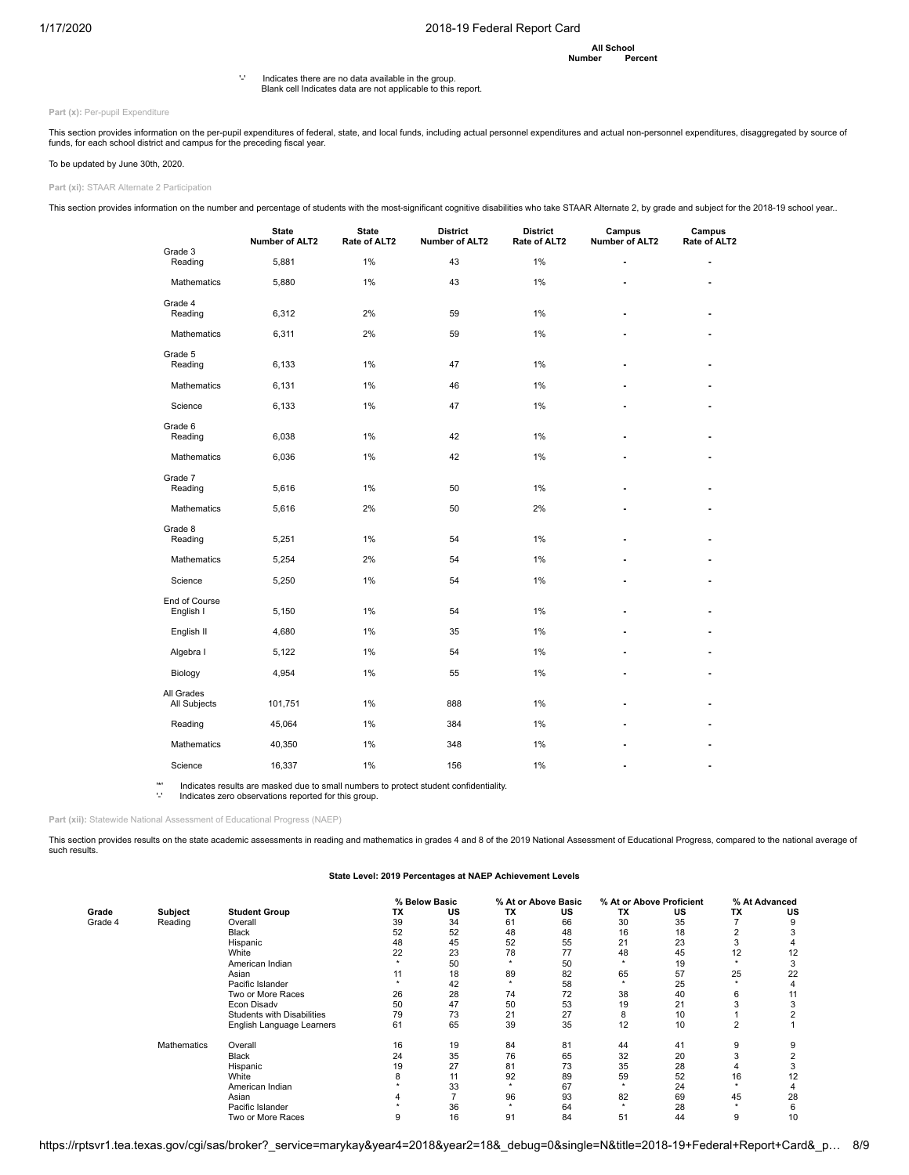**All School Number** 

'-' Indicates there are no data available in the group. Blank cell Indicates data are not applicable to this report.

Part (x): Per-pupil Expenditure

This section provides information on the per-pupil expenditures of federal, state, and local funds, including actual personnel expenditures and actual non-personnel expenditures, disaggregated by source of<br>funds, for each

## To be updated by June 30th, 2020.

**Part (xi):** STAAR Alternate 2 Participation

This section provides information on the number and percentage of students with the most-significant cognitive disabilities who take STAAR Alternate 2, by grade and subject for the 2018-19 school year..

|                            | <b>State</b><br>Number of ALT2 | <b>State</b><br>Rate of ALT2 | <b>District</b><br>Number of ALT2 | <b>District</b><br>Rate of ALT2 | Campus<br>Number of ALT2 | Campus<br>Rate of ALT2 |
|----------------------------|--------------------------------|------------------------------|-----------------------------------|---------------------------------|--------------------------|------------------------|
| Grade 3<br>Reading         | 5,881                          | 1%                           | 43                                | 1%                              |                          |                        |
| <b>Mathematics</b>         | 5,880                          | 1%                           | 43                                | 1%                              |                          | ۰                      |
| Grade 4<br>Reading         | 6,312                          | 2%                           | 59                                | 1%                              | ٠                        | ٠                      |
| Mathematics                | 6,311                          | 2%                           | 59                                | 1%                              |                          |                        |
| Grade 5<br>Reading         | 6,133                          | 1%                           | 47                                | 1%                              |                          |                        |
| Mathematics                | 6,131                          | 1%                           | 46                                | 1%                              | ٠                        |                        |
| Science                    | 6,133                          | 1%                           | 47                                | 1%                              |                          |                        |
| Grade 6<br>Reading         | 6,038                          | 1%                           | 42                                | 1%                              |                          |                        |
| <b>Mathematics</b>         | 6,036                          | 1%                           | 42                                | 1%                              |                          |                        |
| Grade 7<br>Reading         | 5,616                          | 1%                           | 50                                | 1%                              | ٠                        | ۰                      |
| Mathematics                | 5,616                          | 2%                           | 50                                | 2%                              |                          |                        |
| Grade 8<br>Reading         | 5,251                          | 1%                           | 54                                | 1%                              | ۰                        |                        |
| Mathematics                | 5,254                          | 2%                           | 54                                | 1%                              |                          |                        |
| Science                    | 5,250                          | 1%                           | 54                                | 1%                              |                          |                        |
| End of Course<br>English I | 5,150                          | 1%                           | 54                                | 1%                              |                          |                        |
| English II                 | 4,680                          | 1%                           | 35                                | 1%                              |                          |                        |
| Algebra I                  | 5,122                          | 1%                           | 54                                | 1%                              |                          |                        |
| Biology                    | 4,954                          | 1%                           | 55                                | 1%                              |                          |                        |
| All Grades<br>All Subjects | 101,751                        | 1%                           | 888                               | 1%                              |                          |                        |
| Reading                    | 45,064                         | 1%                           | 384                               | 1%                              |                          |                        |
| Mathematics                | 40,350                         | 1%                           | 348                               | 1%                              |                          |                        |
| Science                    | 16,337                         | 1%                           | 156                               | 1%                              |                          |                        |

'\*' Indicates results are masked due to small numbers to protect student confidentiality. '-' Indicates zero observations reported for this group.

**Part (xii):** Statewide National Assessment of Educational Progress (NAEP)

This section provides results on the state academic assessments in reading and mathematics in grades 4 and 8 of the 2019 National Assessment of Educational Progress, compared to the national average of such results.

#### **State Level: 2019 Percentages at NAEP Achievement Levels**

|         |             |                                   |    | % Below Basic |    | % At or Above Basic |    | % At or Above Proficient |    | % At Advanced |
|---------|-------------|-----------------------------------|----|---------------|----|---------------------|----|--------------------------|----|---------------|
| Grade   | Subject     | <b>Student Group</b>              | ΤХ | US            | ТX | US                  | ТX | US                       | ТX | US            |
| Grade 4 | Reading     | Overall                           | 39 | 34            | 61 | 66                  | 30 | 35                       |    |               |
|         |             | <b>Black</b>                      | 52 | 52            | 48 | 48                  | 16 | 18                       |    |               |
|         |             | Hispanic                          | 48 | 45            | 52 | 55                  | 21 | 23                       |    |               |
|         |             | White                             | 22 | 23            | 78 | 77                  | 48 | 45                       | 12 | 12            |
|         |             | American Indian                   |    | 50            |    | 50                  |    | 19                       |    |               |
|         |             | Asian                             | 11 | 18            | 89 | 82                  | 65 | 57                       | 25 | 22            |
|         |             | Pacific Islander                  |    | 42            |    | 58                  |    | 25                       |    |               |
|         |             | Two or More Races                 | 26 | 28            | 74 | 72                  | 38 | 40                       | 6  |               |
|         |             | Econ Disadv                       | 50 | 47            | 50 | 53                  | 19 | 21                       |    |               |
|         |             | <b>Students with Disabilities</b> | 79 | 73            | 21 | 27                  | 8  | 10                       |    |               |
|         |             | English Language Learners         | 61 | 65            | 39 | 35                  | 12 | 10                       |    |               |
|         | Mathematics | Overall                           | 16 | 19            | 84 | 81                  | 44 | 41                       | 9  | 9             |
|         |             | <b>Black</b>                      | 24 | 35            | 76 | 65                  | 32 | 20                       |    |               |
|         |             | Hispanic                          | 19 | 27            | 81 | 73                  | 35 | 28                       |    |               |
|         |             | White                             |    | 11            | 92 | 89                  | 59 | 52                       | 16 | 12            |
|         |             | American Indian                   |    | 33            | ٠  | 67                  |    | 24                       |    |               |
|         |             | Asian                             | 4  |               | 96 | 93                  | 82 | 69                       | 45 | 28            |
|         |             | Pacific Islander                  |    | 36            |    | 64                  |    | 28                       |    |               |
|         |             | Two or More Races                 | 9  | 16            | 91 | 84                  | 51 | 44                       | 9  | 10            |